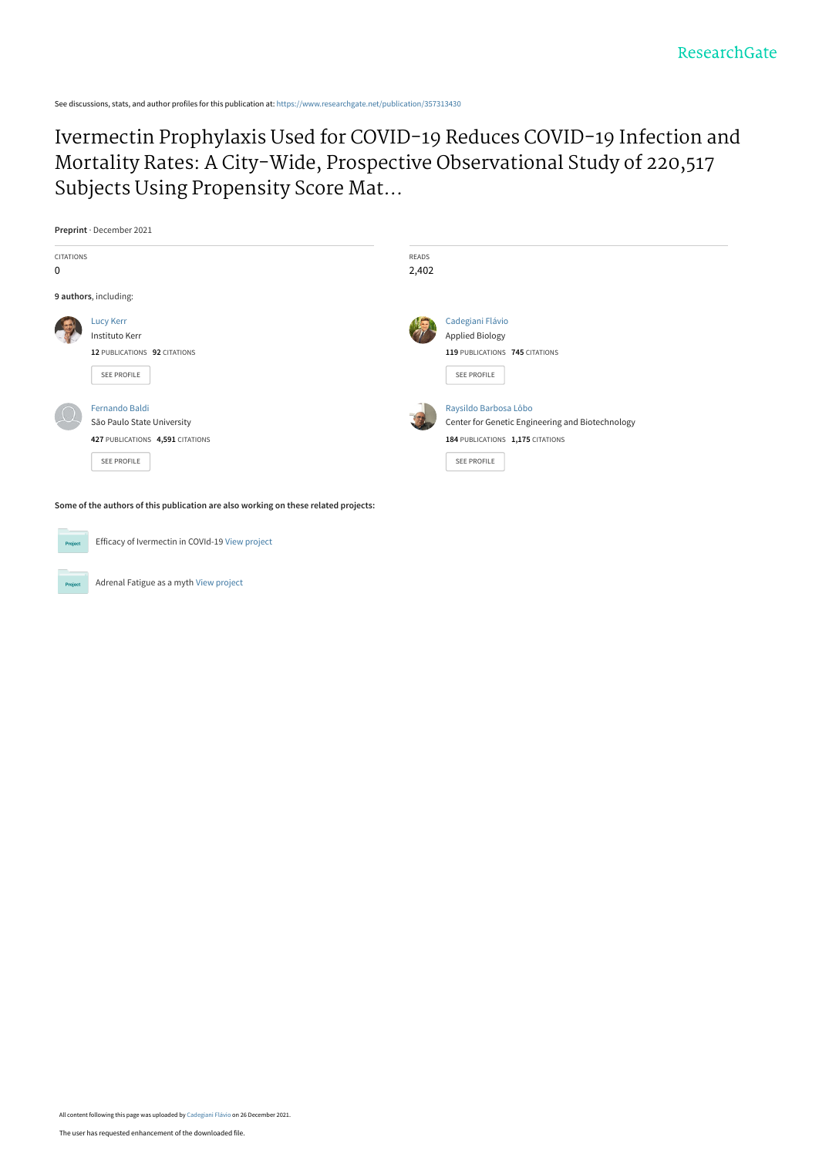See discussions, stats, and author profiles for this publication at: [https://www.researchgate.net/publication/357313430](https://www.researchgate.net/publication/357313430_Ivermectin_Prophylaxis_Used_for_COVID-19_Reduces_COVID-19_Infection_and_Mortality_Rates_A_City-Wide_Prospective_Observational_Study_of_220517_Subjects_Using_Propensity_Score_Matching?enrichId=rgreq-c2b579a1c6c7a4eef138df5822381359-XXX&enrichSource=Y292ZXJQYWdlOzM1NzMxMzQzMDtBUzoxMTA1MjEwNzAxMjgzMzI5QDE2NDA1MTQxNzMzOTc%3D&el=1_x_2&_esc=publicationCoverPdf)

[Ivermectin Prophylaxis Used for COVID-19 Reduces COVID-19 Infection and](https://www.researchgate.net/publication/357313430_Ivermectin_Prophylaxis_Used_for_COVID-19_Reduces_COVID-19_Infection_and_Mortality_Rates_A_City-Wide_Prospective_Observational_Study_of_220517_Subjects_Using_Propensity_Score_Matching?enrichId=rgreq-c2b579a1c6c7a4eef138df5822381359-XXX&enrichSource=Y292ZXJQYWdlOzM1NzMxMzQzMDtBUzoxMTA1MjEwNzAxMjgzMzI5QDE2NDA1MTQxNzMzOTc%3D&el=1_x_3&_esc=publicationCoverPdf) Mortality Rates: A City-Wide, Prospective Observational Study of 220,517 Subjects Using Propensity Score Mat...



**Some of the authors of this publication are also working on these related projects:**



Efficacy of Ivermectin in COVId-19 [View project](https://www.researchgate.net/project/Efficacy-of-Ivermectin-in-COVId-19?enrichId=rgreq-c2b579a1c6c7a4eef138df5822381359-XXX&enrichSource=Y292ZXJQYWdlOzM1NzMxMzQzMDtBUzoxMTA1MjEwNzAxMjgzMzI5QDE2NDA1MTQxNzMzOTc%3D&el=1_x_9&_esc=publicationCoverPdf)

Adrenal Fatigue as a myth [View project](https://www.researchgate.net/project/Adrenal-Fatigue-as-a-myth?enrichId=rgreq-c2b579a1c6c7a4eef138df5822381359-XXX&enrichSource=Y292ZXJQYWdlOzM1NzMxMzQzMDtBUzoxMTA1MjEwNzAxMjgzMzI5QDE2NDA1MTQxNzMzOTc%3D&el=1_x_9&_esc=publicationCoverPdf)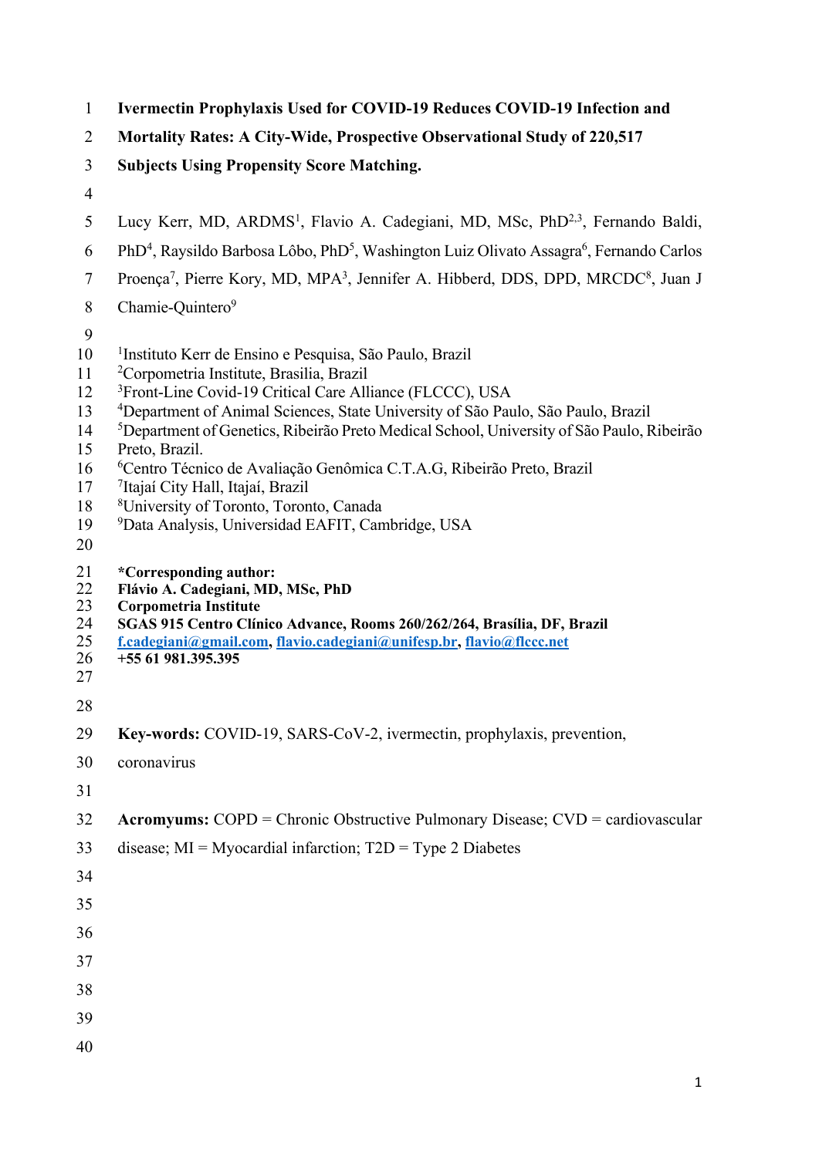- **Ivermectin Prophylaxis Used for COVID-19 Reduces COVID-19 Infection and**
- **Mortality Rates: A City-Wide, Prospective Observational Study of 220,517**
- **Subjects Using Propensity Score Matching.**
- 
- 5 Lucy Kerr, MD, ARDMS<sup>1</sup>, Flavio A. Cadegiani, MD, MSc, PhD<sup>2,3</sup>, Fernando Baldi,
- 6 PhD<sup>4</sup>, Raysildo Barbosa Lôbo, PhD<sup>5</sup>, Washington Luiz Olivato Assagra<sup>6</sup>, Fernando Carlos
- 7 Proença<sup>7</sup>, Pierre Kory, MD, MPA<sup>3</sup>, Jennifer A. Hibberd, DDS, DPD, MRCDC<sup>8</sup>, Juan J
- 8 Chamie-Quintero<sup>9</sup>
- 
- 10 <sup>1</sup>Instituto Kerr de Ensino e Pesquisa, São Paulo, Brazil
- <sup>2</sup> Corpometria Institute, Brasilia, Brazil
- 12 <sup>3</sup> Front-Line Covid-19 Critical Care Alliance (FLCCC), USA
- Department of Animal Sciences, State University of São Paulo, São Paulo, Brazil
- Department of Genetics, Ribeirão Preto Medical School, University of São Paulo, Ribeirão
- Preto, Brazil.
- <sup>6</sup> Centro Técnico de Avaliação Genômica C.T.A.G, Ribeirão Preto, Brazil
- 17 <sup>7</sup> Itajaí City Hall, Itajaí, Brazil
- University of Toronto, Toronto, Canada
- Data Analysis, Universidad EAFIT, Cambridge, USA
- 
- **\*Corresponding author:**
- **Flávio A. Cadegiani, MD, MSc, PhD**
- **Corpometria Institute**
- **SGAS 915 Centro Clínico Advance, Rooms 260/262/264, Brasília, DF, Brazil**
- **f.cadegiani@gmail.com, flavio.cadegiani@unifesp.br, flavio@flccc.net**
- **+55 61 981.395.395**
- 
- **Key-words:** COVID-19, SARS-CoV-2, ivermectin, prophylaxis, prevention,
- coronavirus
- 
- **Acromyums:** COPD = Chronic Obstructive Pulmonary Disease; CVD = cardiovascular
- disease; MI = Myocardial infarction; T2D = Type 2 Diabetes
- 
- 
- 
- 
- 
- 
- 
-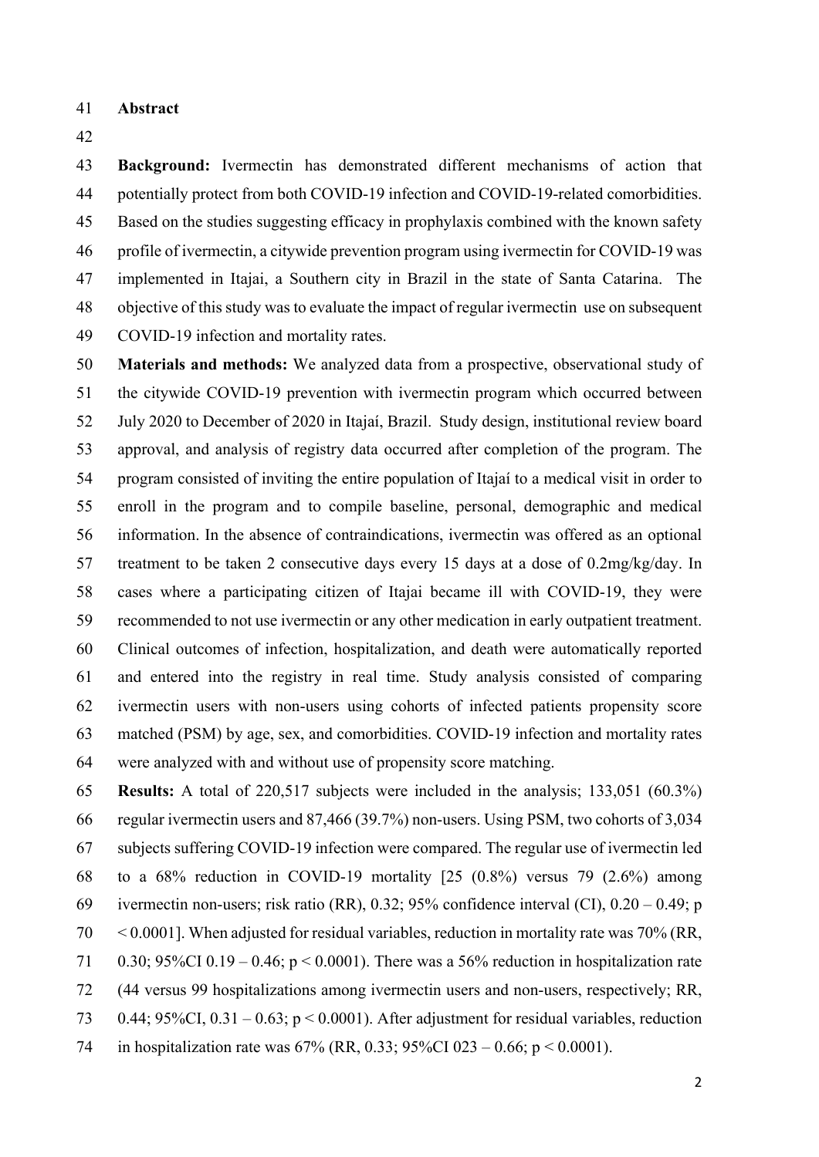- **Abstract**
- 

 **Background:** Ivermectin has demonstrated different mechanisms of action that potentially protect from both COVID-19 infection and COVID-19-related comorbidities. Based on the studies suggesting efficacy in prophylaxis combined with the known safety profile of ivermectin, a citywide prevention program using ivermectin for COVID-19 was implemented in Itajai, a Southern city in Brazil in the state of Santa Catarina. The objective of this study was to evaluate the impact of regular ivermectin use on subsequent COVID-19 infection and mortality rates.

 **Materials and methods:** We analyzed data from a prospective, observational study of the citywide COVID-19 prevention with ivermectin program which occurred between July 2020 to December of 2020 in Itajaí, Brazil. Study design, institutional review board approval, and analysis of registry data occurred after completion of the program. The program consisted of inviting the entire population of Itajaí to a medical visit in order to enroll in the program and to compile baseline, personal, demographic and medical information. In the absence of contraindications, ivermectin was offered as an optional treatment to be taken 2 consecutive days every 15 days at a dose of 0.2mg/kg/day. In cases where a participating citizen of Itajai became ill with COVID-19, they were recommended to not use ivermectin or any other medication in early outpatient treatment. Clinical outcomes of infection, hospitalization, and death were automatically reported and entered into the registry in real time. Study analysis consisted of comparing ivermectin users with non-users using cohorts of infected patients propensity score matched (PSM) by age, sex, and comorbidities. COVID-19 infection and mortality rates were analyzed with and without use of propensity score matching.

 **Results:** A total of 220,517 subjects were included in the analysis; 133,051 (60.3%) regular ivermectin users and 87,466 (39.7%) non-users. Using PSM, two cohorts of 3,034 subjects suffering COVID-19 infection were compared. The regular use of ivermectin led to a 68% reduction in COVID-19 mortality [25 (0.8%) versus 79 (2.6%) among 69 ivermectin non-users; risk ratio (RR), 0.32; 95% confidence interval (CI),  $0.20 - 0.49$ ; p < 0.0001]. When adjusted for residual variables, reduction in mortality rate was 70% (RR, 71 0.30; 95%CI 0.19 – 0.46;  $p < 0.0001$ ). There was a 56% reduction in hospitalization rate (44 versus 99 hospitalizations among ivermectin users and non-users, respectively; RR, 73 0.44;  $95\%$ CI, 0.31 – 0.63; p < 0.0001). After adjustment for residual variables, reduction in hospitalization rate was 67% (RR, 0.33; 95%CI 023 – 0.66; p < 0.0001).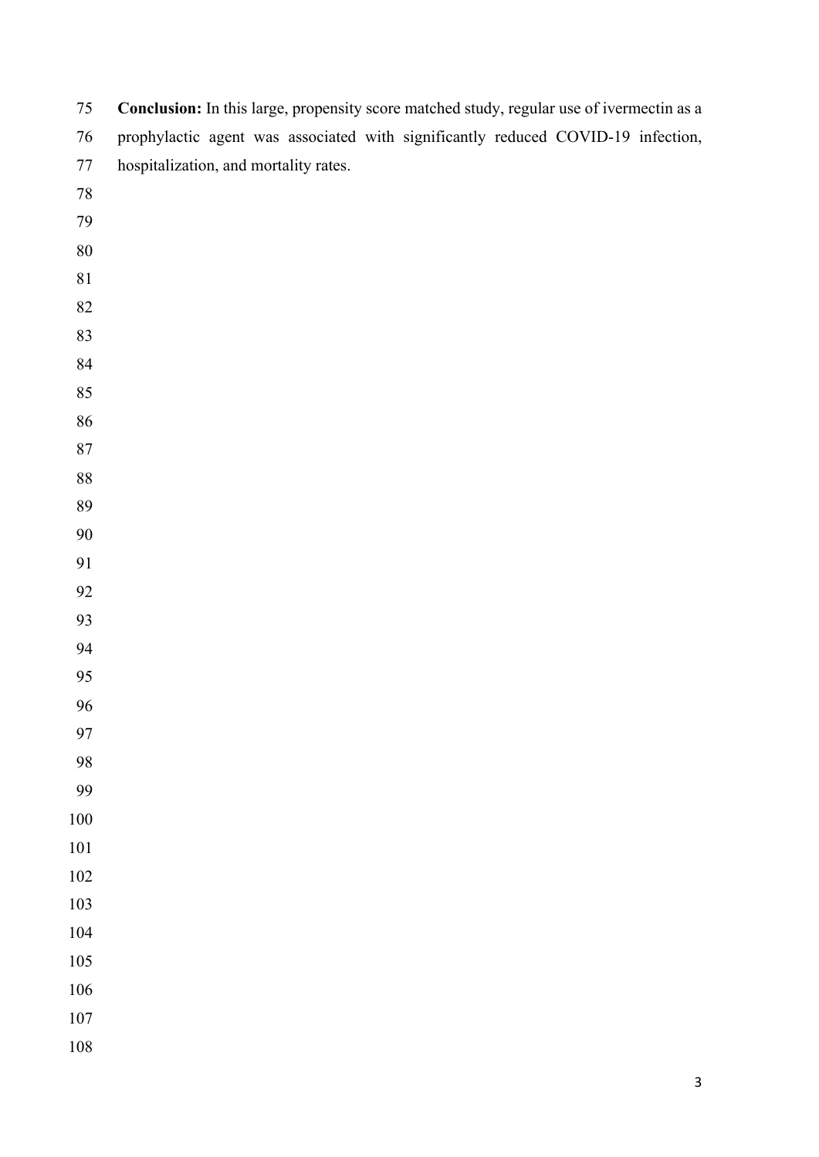| 75      | Conclusion: In this large, propensity score matched study, regular use of ivermectin as a |
|---------|-------------------------------------------------------------------------------------------|
| $76\,$  | prophylactic agent was associated with significantly reduced COVID-19 infection,          |
| $77\,$  | hospitalization, and mortality rates.                                                     |
| $78\,$  |                                                                                           |
| 79      |                                                                                           |
| $80\,$  |                                                                                           |
| 81      |                                                                                           |
| 82      |                                                                                           |
| 83      |                                                                                           |
| 84      |                                                                                           |
| 85      |                                                                                           |
| 86      |                                                                                           |
| $87\,$  |                                                                                           |
| $88\,$  |                                                                                           |
| 89      |                                                                                           |
| 90      |                                                                                           |
| 91      |                                                                                           |
| 92      |                                                                                           |
| 93      |                                                                                           |
| 94      |                                                                                           |
| 95      |                                                                                           |
| 96      |                                                                                           |
| 97      |                                                                                           |
| 98      |                                                                                           |
| 99      |                                                                                           |
| $100\,$ |                                                                                           |
| $101\,$ |                                                                                           |
| $102\,$ |                                                                                           |
| 103     |                                                                                           |
| 104     |                                                                                           |
| 105     |                                                                                           |
| 106     |                                                                                           |
| $107\,$ |                                                                                           |
| $108\,$ |                                                                                           |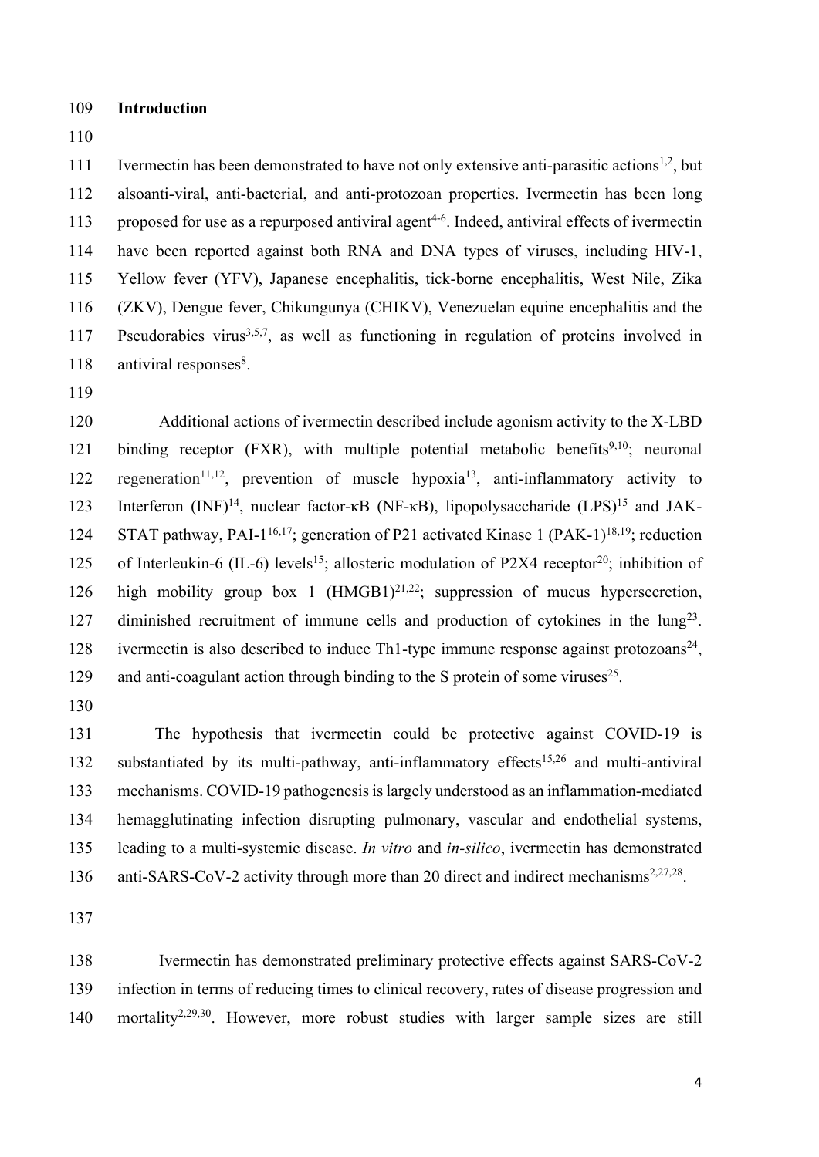- 109 **Introduction**
- 110

111 Ivermectin has been demonstrated to have not only extensive anti-parasitic actions<sup>1,2</sup>, but alsoanti-viral, anti-bacterial, and anti-protozoan properties. Ivermectin has been long 113 proposed for use as a repurposed antiviral agent<sup>4-6</sup>. Indeed, antiviral effects of ivermectin have been reported against both RNA and DNA types of viruses, including HIV-1, Yellow fever (YFV), Japanese encephalitis, tick-borne encephalitis, West Nile, Zika (ZKV), Dengue fever, Chikungunya (CHIKV), Venezuelan equine encephalitis and the 117 Pseudorabies virus<sup>3,5,7</sup>, as well as functioning in regulation of proteins involved in antiviral responses $8$ .

119

120 Additional actions of ivermectin described include agonism activity to the X-LBD 121 binding receptor  $(FXR)$ , with multiple potential metabolic benefits<sup>9,10</sup>; neuronal 122 regeneration<sup>11,12</sup>, prevention of muscle hypoxia<sup>13</sup>, anti-inflammatory activity to 123 Interferon  $(NF)^{14}$ , nuclear factor-κB (NF-κB), lipopolysaccharide (LPS)<sup>15</sup> and JAK-124 STAT pathway, PAI-1<sup>16,17</sup>; generation of P21 activated Kinase 1 (PAK-1)<sup>18,19</sup>; reduction 125 of Interleukin-6 (IL-6) levels<sup>15</sup>; allosteric modulation of P2X4 receptor<sup>20</sup>; inhibition of 126 high mobility group box 1  $(HMGB1)^{21,22}$ ; suppression of mucus hypersecretion, 127 diminished recruitment of immune cells and production of cytokines in the  $\text{lung}^{23}$ . 128 ivermectin is also described to induce Th1-type immune response against protozoans<sup>24</sup>, 129 and anti-coagulant action through binding to the S protein of some viruses<sup>25</sup>.

130

131 The hypothesis that ivermectin could be protective against COVID-19 is 132 substantiated by its multi-pathway, anti-inflammatory effects<sup>15,26</sup> and multi-antiviral 133 mechanisms. COVID-19 pathogenesis is largely understood as an inflammation-mediated 134 hemagglutinating infection disrupting pulmonary, vascular and endothelial systems, 135 leading to a multi-systemic disease. *In vitro* and *in-silico*, ivermectin has demonstrated 136 anti-SARS-CoV-2 activity through more than 20 direct and indirect mechanisms<sup>2,27,28</sup>.

137

138 Ivermectin has demonstrated preliminary protective effects against SARS-CoV-2 139 infection in terms of reducing times to clinical recovery, rates of disease progression and 140 mortality<sup>2,29,30</sup>. However, more robust studies with larger sample sizes are still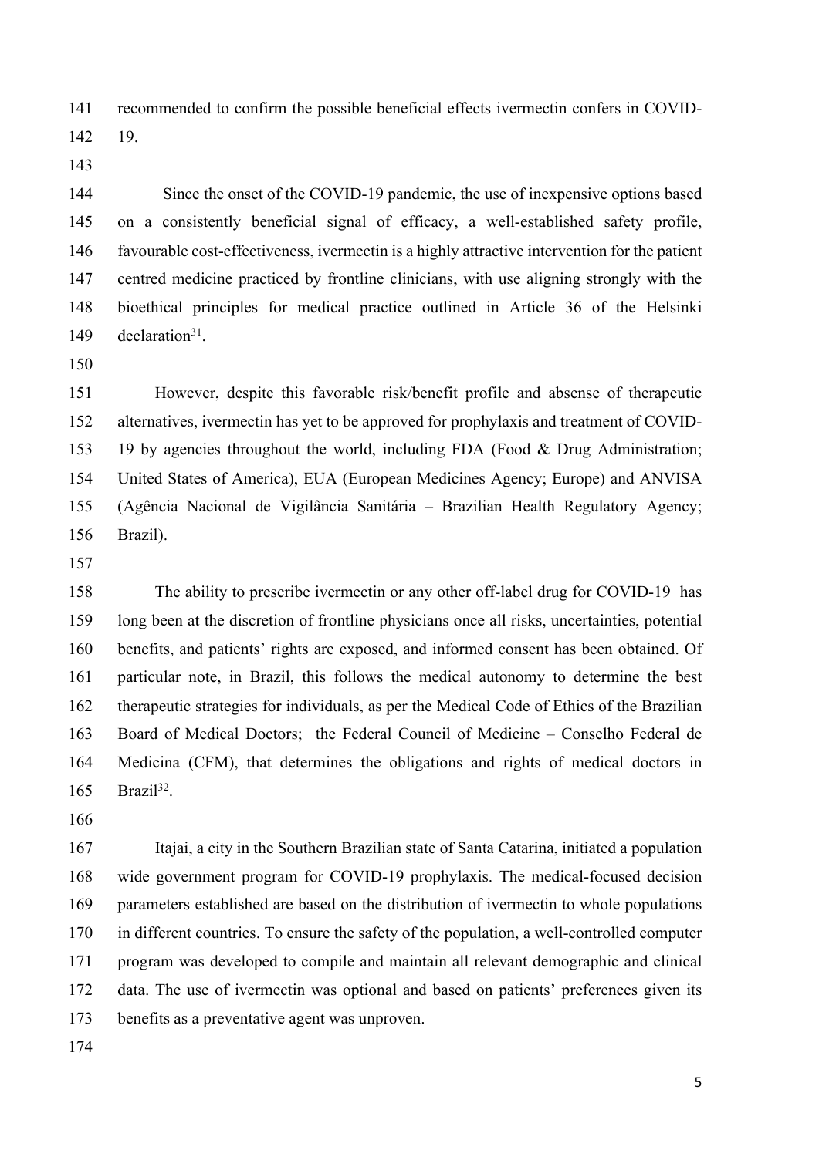recommended to confirm the possible beneficial effects ivermectin confers in COVID-

19.

144 Since the onset of the COVID-19 pandemic, the use of inexpensive options based on a consistently beneficial signal of efficacy, a well-established safety profile, favourable cost-effectiveness, ivermectin is a highly attractive intervention for the patient centred medicine practiced by frontline clinicians, with use aligning strongly with the bioethical principles for medical practice outlined in Article 36 of the Helsinki 149 declaration.

151 However, despite this favorable risk/benefit profile and absense of therapeutic alternatives, ivermectin has yet to be approved for prophylaxis and treatment of COVID- 19 by agencies throughout the world, including FDA (Food & Drug Administration; United States of America), EUA (European Medicines Agency; Europe) and ANVISA (Agência Nacional de Vigilância Sanitária – Brazilian Health Regulatory Agency; Brazil).

158 The ability to prescribe ivermectin or any other off-label drug for COVID-19 has long been at the discretion of frontline physicians once all risks, uncertainties, potential benefits, and patients' rights are exposed, and informed consent has been obtained. Of particular note, in Brazil, this follows the medical autonomy to determine the best therapeutic strategies for individuals, as per the Medical Code of Ethics of the Brazilian Board of Medical Doctors; the Federal Council of Medicine – Conselho Federal de Medicina (CFM), that determines the obligations and rights of medical doctors in Brazil<sup>32</sup>.

167 Itajai, a city in the Southern Brazilian state of Santa Catarina, initiated a population wide government program for COVID-19 prophylaxis. The medical-focused decision parameters established are based on the distribution of ivermectin to whole populations in different countries. To ensure the safety of the population, a well-controlled computer program was developed to compile and maintain all relevant demographic and clinical data. The use of ivermectin was optional and based on patients' preferences given its benefits as a preventative agent was unproven.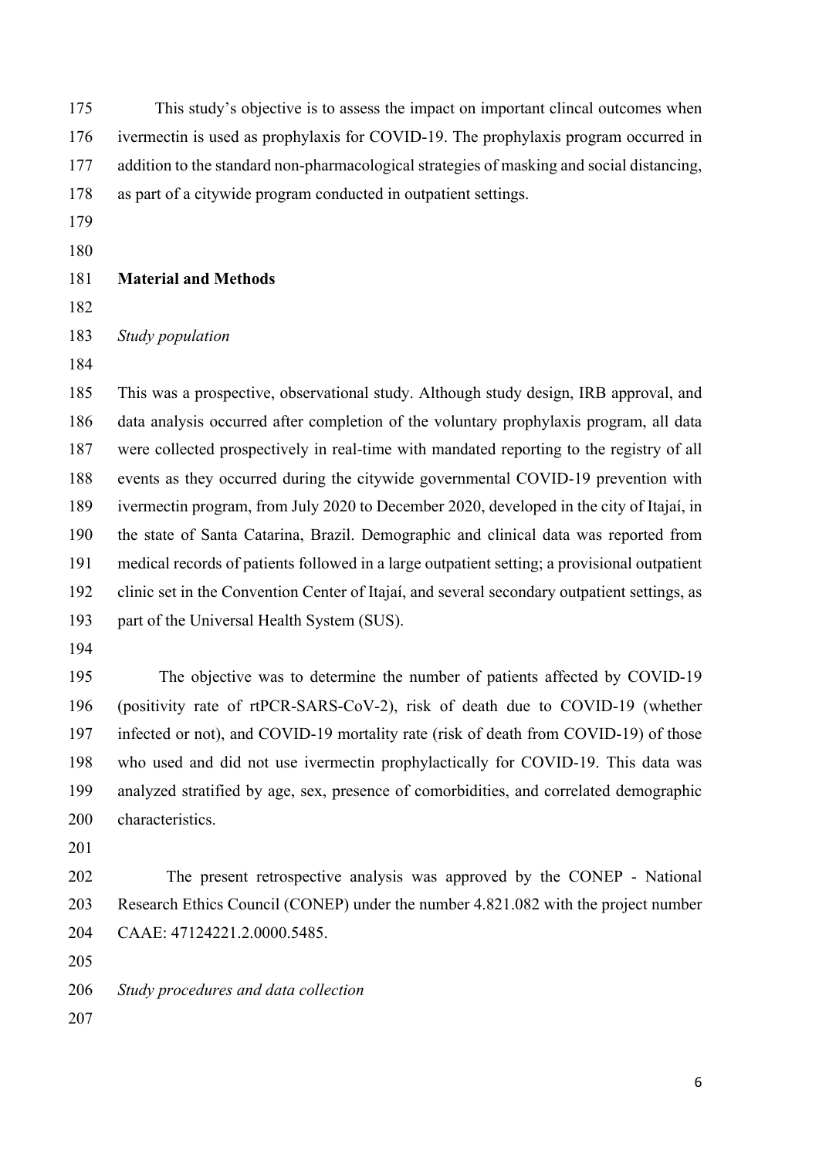| 175 | This study's objective is to assess the impact on important clincal outcomes when            |
|-----|----------------------------------------------------------------------------------------------|
| 176 | ivermectin is used as prophylaxis for COVID-19. The prophylaxis program occurred in          |
| 177 | addition to the standard non-pharmacological strategies of masking and social distancing,    |
| 178 | as part of a citywide program conducted in outpatient settings.                              |
| 179 |                                                                                              |
| 180 |                                                                                              |
| 181 | <b>Material and Methods</b>                                                                  |
| 182 |                                                                                              |
| 183 | Study population                                                                             |
| 184 |                                                                                              |
| 185 | This was a prospective, observational study. Although study design, IRB approval, and        |
| 186 | data analysis occurred after completion of the voluntary prophylaxis program, all data       |
| 187 | were collected prospectively in real-time with mandated reporting to the registry of all     |
| 188 | events as they occurred during the citywide governmental COVID-19 prevention with            |
| 189 | ivermectin program, from July 2020 to December 2020, developed in the city of Itajaí, in     |
| 190 | the state of Santa Catarina, Brazil. Demographic and clinical data was reported from         |
| 191 | medical records of patients followed in a large outpatient setting; a provisional outpatient |
| 192 | clinic set in the Convention Center of Itajaí, and several secondary outpatient settings, as |
| 193 | part of the Universal Health System (SUS).                                                   |
| 194 |                                                                                              |
| 195 | The objective was to determine the number of patients affected by COVID-19                   |
| 196 | (positivity rate of rtPCR-SARS-CoV-2), risk of death due to COVID-19 (whether                |
| 197 | infected or not), and COVID-19 mortality rate (risk of death from COVID-19) of those         |
| 198 | who used and did not use ivermectin prophylactically for COVID-19. This data was             |
| 199 | analyzed stratified by age, sex, presence of comorbidities, and correlated demographic       |
| 200 | characteristics.                                                                             |
| 201 |                                                                                              |
| 202 | The present retrospective analysis was approved by the CONEP - National                      |
| 203 | Research Ethics Council (CONEP) under the number 4.821.082 with the project number           |
| 204 | CAAE: 47124221.2.0000.5485.                                                                  |
| 205 |                                                                                              |
| 206 | Study procedures and data collection                                                         |
| 207 |                                                                                              |
|     |                                                                                              |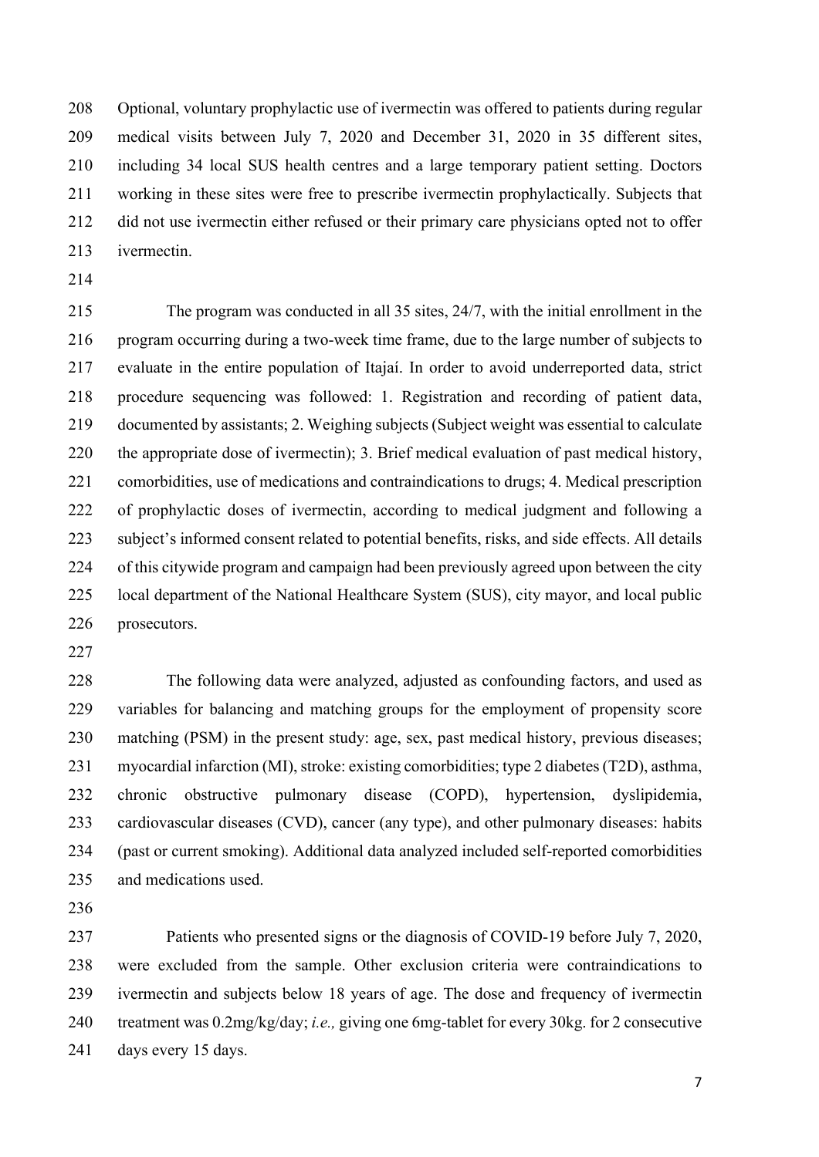Optional, voluntary prophylactic use of ivermectin was offered to patients during regular medical visits between July 7, 2020 and December 31, 2020 in 35 different sites, including 34 local SUS health centres and a large temporary patient setting. Doctors working in these sites were free to prescribe ivermectin prophylactically. Subjects that did not use ivermectin either refused or their primary care physicians opted not to offer ivermectin.

 The program was conducted in all 35 sites, 24/7, with the initial enrollment in the program occurring during a two-week time frame, due to the large number of subjects to evaluate in the entire population of Itajaí. In order to avoid underreported data, strict procedure sequencing was followed: 1. Registration and recording of patient data, documented by assistants; 2. Weighing subjects (Subject weight was essential to calculate the appropriate dose of ivermectin); 3. Brief medical evaluation of past medical history, comorbidities, use of medications and contraindications to drugs; 4. Medical prescription of prophylactic doses of ivermectin, according to medical judgment and following a subject's informed consent related to potential benefits, risks, and side effects. All details of this citywide program and campaign had been previously agreed upon between the city local department of the National Healthcare System (SUS), city mayor, and local public prosecutors.

 The following data were analyzed, adjusted as confounding factors, and used as variables for balancing and matching groups for the employment of propensity score matching (PSM) in the present study: age, sex, past medical history, previous diseases; myocardial infarction (MI), stroke: existing comorbidities; type 2 diabetes (T2D), asthma, chronic obstructive pulmonary disease (COPD), hypertension, dyslipidemia, cardiovascular diseases (CVD), cancer (any type), and other pulmonary diseases: habits (past or current smoking). Additional data analyzed included self-reported comorbidities and medications used.

 Patients who presented signs or the diagnosis of COVID-19 before July 7, 2020, were excluded from the sample. Other exclusion criteria were contraindications to ivermectin and subjects below 18 years of age. The dose and frequency of ivermectin treatment was 0.2mg/kg/day; *i.e.,* giving one 6mg-tablet for every 30kg. for 2 consecutive days every 15 days.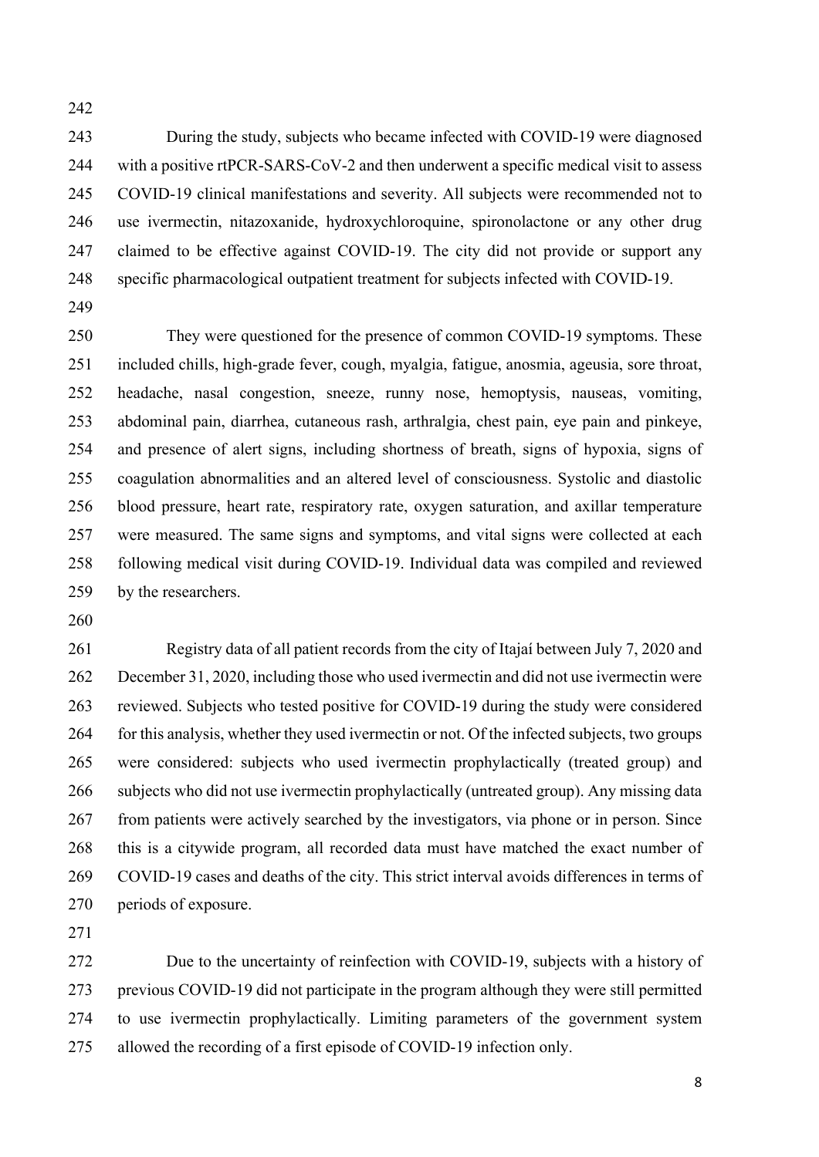During the study, subjects who became infected with COVID-19 were diagnosed with a positive rtPCR-SARS-CoV-2 and then underwent a specific medical visit to assess COVID-19 clinical manifestations and severity. All subjects were recommended not to use ivermectin, nitazoxanide, hydroxychloroquine, spironolactone or any other drug claimed to be effective against COVID-19. The city did not provide or support any specific pharmacological outpatient treatment for subjects infected with COVID-19.

 They were questioned for the presence of common COVID-19 symptoms. These included chills, high-grade fever, cough, myalgia, fatigue, anosmia, ageusia, sore throat, headache, nasal congestion, sneeze, runny nose, hemoptysis, nauseas, vomiting, abdominal pain, diarrhea, cutaneous rash, arthralgia, chest pain, eye pain and pinkeye, and presence of alert signs, including shortness of breath, signs of hypoxia, signs of coagulation abnormalities and an altered level of consciousness. Systolic and diastolic blood pressure, heart rate, respiratory rate, oxygen saturation, and axillar temperature were measured. The same signs and symptoms, and vital signs were collected at each following medical visit during COVID-19. Individual data was compiled and reviewed by the researchers.

 Registry data of all patient records from the city of Itajaí between July 7, 2020 and December 31, 2020, including those who used ivermectin and did not use ivermectin were reviewed. Subjects who tested positive for COVID-19 during the study were considered 264 for this analysis, whether they used ivermectin or not. Of the infected subjects, two groups were considered: subjects who used ivermectin prophylactically (treated group) and subjects who did not use ivermectin prophylactically (untreated group). Any missing data from patients were actively searched by the investigators, via phone or in person. Since this is a citywide program, all recorded data must have matched the exact number of COVID-19 cases and deaths of the city. This strict interval avoids differences in terms of periods of exposure.

 Due to the uncertainty of reinfection with COVID-19, subjects with a history of previous COVID-19 did not participate in the program although they were still permitted to use ivermectin prophylactically. Limiting parameters of the government system allowed the recording of a first episode of COVID-19 infection only.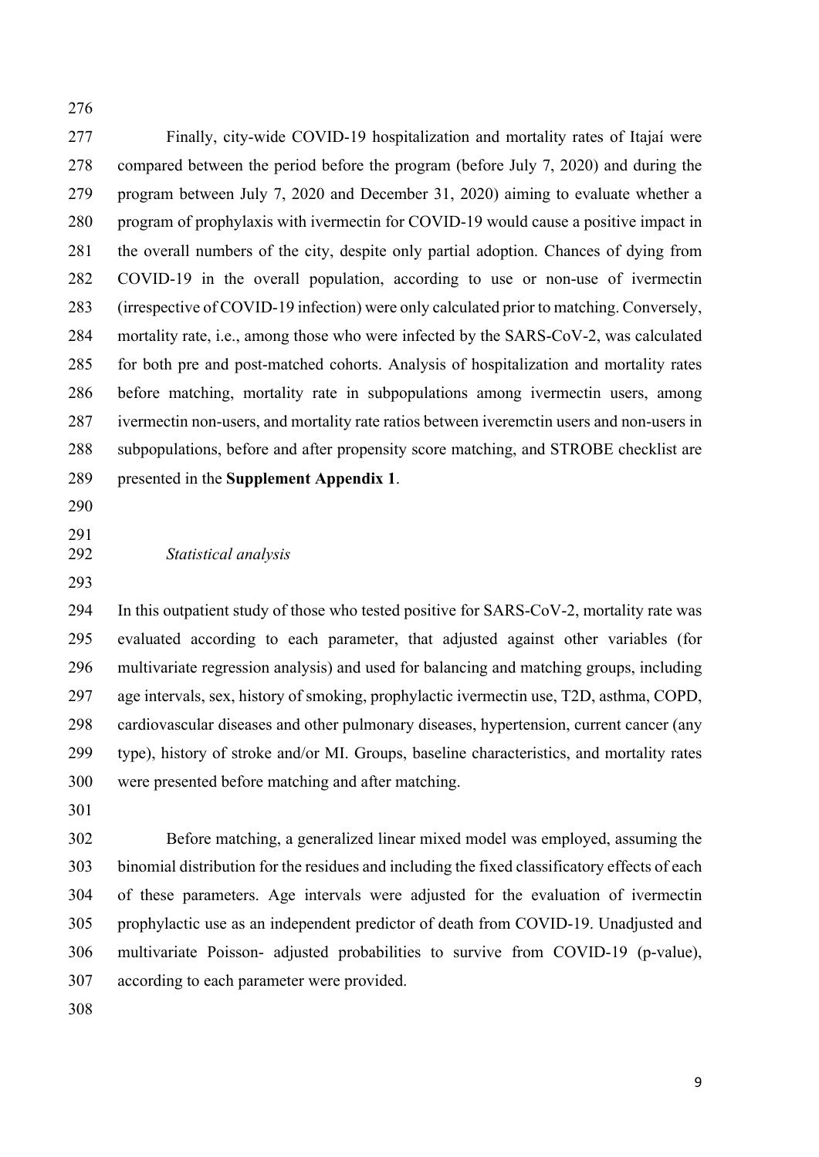Finally, city-wide COVID-19 hospitalization and mortality rates of Itajaí were compared between the period before the program (before July 7, 2020) and during the program between July 7, 2020 and December 31, 2020) aiming to evaluate whether a program of prophylaxis with ivermectin for COVID-19 would cause a positive impact in the overall numbers of the city, despite only partial adoption. Chances of dying from COVID-19 in the overall population, according to use or non-use of ivermectin (irrespective of COVID-19 infection) were only calculated prior to matching. Conversely, mortality rate, i.e., among those who were infected by the SARS-CoV-2, was calculated for both pre and post-matched cohorts. Analysis of hospitalization and mortality rates before matching, mortality rate in subpopulations among ivermectin users, among ivermectin non-users, and mortality rate ratios between iveremctin users and non-users in subpopulations, before and after propensity score matching, and STROBE checklist are presented in the **Supplement Appendix 1**.

- 
- 

#### *Statistical analysis*

 In this outpatient study of those who tested positive for SARS-CoV-2, mortality rate was evaluated according to each parameter, that adjusted against other variables (for multivariate regression analysis) and used for balancing and matching groups, including age intervals, sex, history of smoking, prophylactic ivermectin use, T2D, asthma, COPD, cardiovascular diseases and other pulmonary diseases, hypertension, current cancer (any type), history of stroke and/or MI. Groups, baseline characteristics, and mortality rates were presented before matching and after matching.

 Before matching, a generalized linear mixed model was employed, assuming the binomial distribution for the residues and including the fixed classificatory effects of each of these parameters. Age intervals were adjusted for the evaluation of ivermectin prophylactic use as an independent predictor of death from COVID-19. Unadjusted and multivariate Poisson- adjusted probabilities to survive from COVID-19 (p-value), according to each parameter were provided.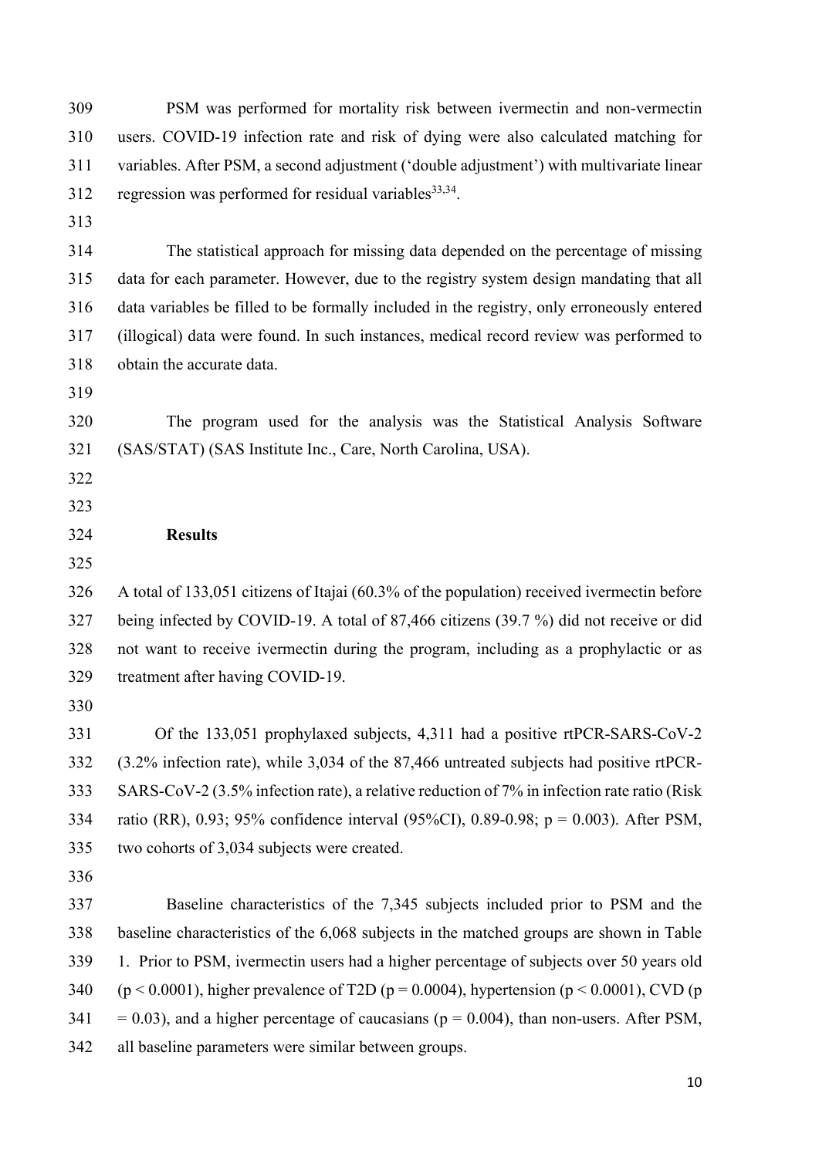PSM was performed for mortality risk between ivermectin and non-vermectin users. COVID-19 infection rate and risk of dying were also calculated matching for variables. After PSM, a second adjustment ('double adjustment') with multivariate linear 312 regression was performed for residual variables  $33,34$ . The statistical approach for missing data depended on the percentage of missing data for each parameter. However, due to the registry system design mandating that all data variables be filled to be formally included in the registry, only erroneously entered (illogical) data were found. In such instances, medical record review was performed to obtain the accurate data. The program used for the analysis was the Statistical Analysis Software (SAS/STAT) (SAS Institute Inc., Care, North Carolina, USA). **Results**  A total of 133,051 citizens of Itajai (60.3% of the population) received ivermectin before being infected by COVID-19. A total of 87,466 citizens (39.7 %) did not receive or did not want to receive ivermectin during the program, including as a prophylactic or as treatment after having COVID-19. 331 Of the 133,051 prophylaxed subjects, 4,311 had a positive rtPCR-SARS-CoV-2 (3.2% infection rate), while 3,034 of the 87,466 untreated subjects had positive rtPCR- SARS-CoV-2 (3.5% infection rate), a relative reduction of 7% in infection rate ratio (Risk ratio (RR), 0.93; 95% confidence interval (95%CI), 0.89-0.98; p = 0.003). After PSM, two cohorts of 3,034 subjects were created. Baseline characteristics of the 7,345 subjects included prior to PSM and the baseline characteristics of the 6,068 subjects in the matched groups are shown in Table 1. Prior to PSM, ivermectin users had a higher percentage of subjects over 50 years old 340 ( $p \le 0.0001$ ), higher prevalence of T2D ( $p = 0.0004$ ), hypertension ( $p \le 0.0001$ ), CVD (p  $341 = 0.03$ , and a higher percentage of caucasians ( $p = 0.004$ ), than non-users. After PSM, all baseline parameters were similar between groups.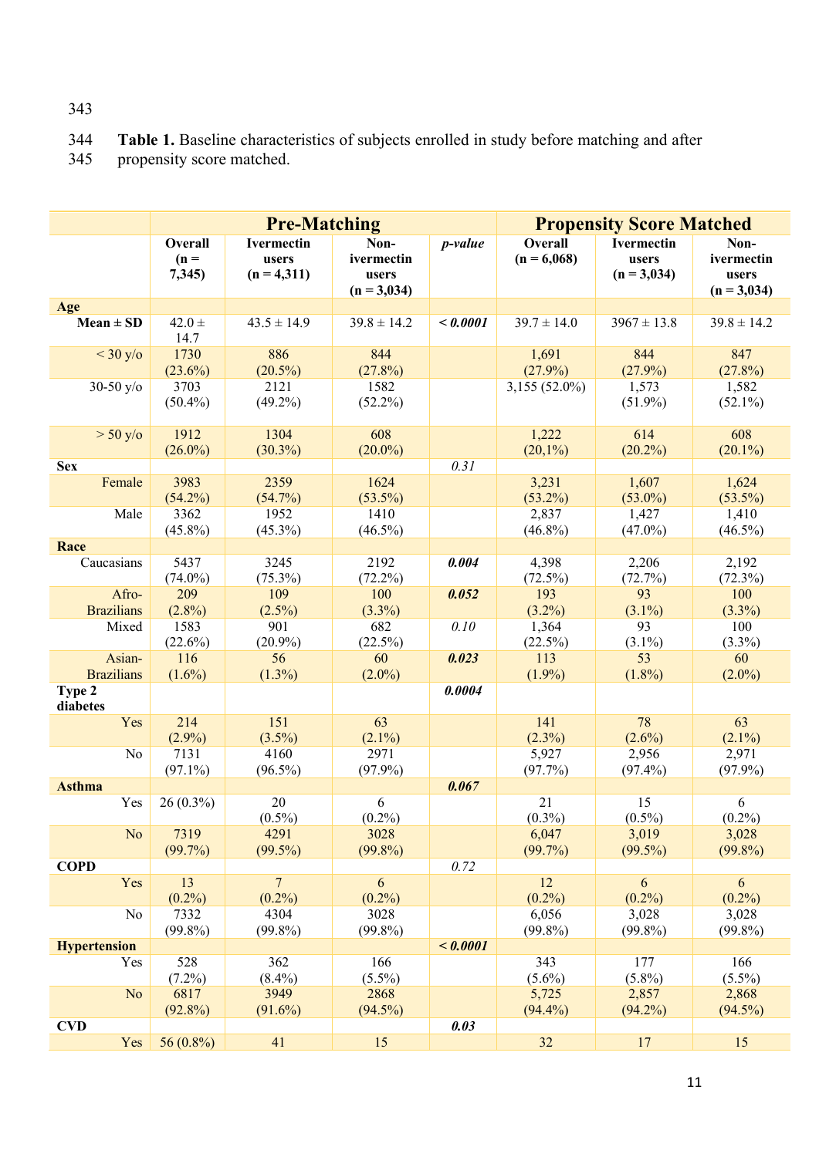# 344 **Table 1.** Baseline characteristics of subjects enrolled in study before matching and after propensity score matched. propensity score matched.

|                     |                                   | <b>Pre-Matching</b>                  |                                              | <b>Propensity Score Matched</b> |                          |                                             |                                              |
|---------------------|-----------------------------------|--------------------------------------|----------------------------------------------|---------------------------------|--------------------------|---------------------------------------------|----------------------------------------------|
|                     | <b>Overall</b><br>$(n =$<br>7,345 | Ivermectin<br>users<br>$(n = 4,311)$ | Non-<br>ivermectin<br>users<br>$(n = 3,034)$ | p-value                         | Overall<br>$(n = 6,068)$ | <b>Ivermectin</b><br>users<br>$(n = 3,034)$ | Non-<br>ivermectin<br>users<br>$(n = 3,034)$ |
| Age                 |                                   |                                      |                                              |                                 |                          |                                             |                                              |
| $Mean \pm SD$       | $42.0 \pm$<br>14.7                | $43.5 \pm 14.9$                      | $39.8 \pm 14.2$                              | < 0.0001                        | $39.7 \pm 14.0$          | $3967 \pm 13.8$                             | $39.8 \pm 14.2$                              |
| $<$ 30 y/o          | 1730<br>$(23.6\%)$                | 886<br>$(20.5\%)$                    | 844<br>(27.8%)                               |                                 | 1,691<br>$(27.9\%)$      | 844<br>$(27.9\%)$                           | 847<br>$(27.8\%)$                            |
| 30-50 $y$ /o        | 3703<br>$(50.4\%)$                | 2121<br>$(49.2\%)$                   | 1582<br>$(52.2\%)$                           |                                 | $3,155(52.0\%)$          | 1,573<br>$(51.9\%)$                         | 1,582<br>$(52.1\%)$                          |
| $> 50$ y/o          | 1912<br>$(26.0\%)$                | 1304<br>$(30.3\%)$                   | 608<br>$(20.0\%)$                            |                                 | 1,222<br>$(20,1\%)$      | 614<br>$(20.2\%)$                           | 608<br>$(20.1\%)$                            |
| <b>Sex</b>          |                                   |                                      |                                              | 0.31                            |                          |                                             |                                              |
| Female              | 3983<br>$(54.2\%)$                | 2359<br>$(54.7\%)$                   | 1624<br>$(53.5\%)$                           |                                 | 3,231<br>$(53.2\%)$      | 1,607<br>$(53.0\%)$                         | 1,624<br>$(53.5\%)$                          |
| Male                | 3362<br>$(45.8\%)$                | 1952<br>$(45.3\%)$                   | 1410<br>$(46.5\%)$                           |                                 | 2,837<br>$(46.8\%)$      | 1,427<br>$(47.0\%)$                         | 1,410<br>$(46.5\%)$                          |
| Race                |                                   |                                      |                                              |                                 |                          |                                             |                                              |
| Caucasians          | 5437<br>$(74.0\%)$                | 3245<br>$(75.3\%)$                   | 2192<br>$(72.2\%)$                           | 0.004                           | 4,398<br>$(72.5\%)$      | 2,206<br>(72.7%)                            | 2,192<br>$(72.3\%)$                          |
| Afro-               | 209                               | 109                                  | 100                                          | 0.052                           | 193                      | 93                                          | 100                                          |
| <b>Brazilians</b>   | $(2.8\%)$                         | $(2.5\%)$                            | $(3.3\%)$                                    |                                 | $(3.2\%)$                | $(3.1\%)$                                   | $(3.3\%)$                                    |
| Mixed               | 1583                              | 901                                  | 682                                          | 0.10                            | 1,364                    | 93                                          | 100                                          |
|                     | (22.6%)                           | $(20.9\%)$                           | (22.5%)                                      |                                 | (22.5%)                  | $(3.1\%)$                                   | $(3.3\%)$                                    |
| Asian-              | 116                               | 56                                   | 60                                           | 0.023                           | 113                      | 53                                          | 60                                           |
| <b>Brazilians</b>   | $(1.6\%)$                         | $(1.3\%)$                            | $(2.0\%)$                                    |                                 | $(1.9\%)$                | $(1.8\%)$                                   | $(2.0\%)$                                    |
| Type 2<br>diabetes  |                                   |                                      |                                              | 0.0004                          |                          |                                             |                                              |
| Yes                 | 214<br>$(2.9\%)$                  | 151<br>$(3.5\%)$                     | 63<br>$(2.1\%)$                              |                                 | 141<br>$(2.3\%)$         | 78<br>$(2.6\%)$                             | 63<br>$(2.1\%)$                              |
| No                  | 7131<br>$(97.1\%)$                | 4160<br>$(96.5\%)$                   | 2971<br>$(97.9\%)$                           |                                 | 5,927<br>(97.7%)         | 2,956<br>$(97.4\%)$                         | 2,971<br>$(97.9\%)$                          |
| <b>Asthma</b>       |                                   |                                      |                                              | 0.067                           |                          |                                             |                                              |
| Yes                 | $26(0.3\%)$                       | 20<br>$(0.5\%)$                      | 6<br>$(0.2\%)$                               |                                 | 21<br>$(0.3\%)$          | 15<br>$(0.5\%)$                             | 6<br>$(0.2\%)$                               |
| No                  | 7319<br>(99.7%)                   | 4291<br>$(99.5\%)$                   | 3028<br>$(99.8\%)$                           |                                 | 6,047<br>$(99.7\%)$      | 3,019<br>$(99.5\%)$                         | 3,028<br>$(99.8\%)$                          |
| <b>COPD</b>         |                                   |                                      |                                              | 0.72                            |                          |                                             |                                              |
| Yes                 | 13<br>$(0.2\%)$                   | $\overline{7}$<br>$(0.2\%)$          | $\boldsymbol{6}$<br>$(0.2\%)$                |                                 | 12<br>$(0.2\%)$          | 6<br>$(0.2\%)$                              | 6<br>$(0.2\%)$                               |
| No                  | 7332<br>$(99.8\%)$                | 4304<br>$(99.8\%)$                   | 3028<br>$(99.8\%)$                           |                                 | 6,056<br>$(99.8\%)$      | 3,028<br>$(99.8\%)$                         | 3,028<br>$(99.8\%)$                          |
| <b>Hypertension</b> |                                   |                                      |                                              | < 0.0001                        |                          |                                             |                                              |
| Yes                 | 528<br>$(7.2\%)$                  | 362<br>$(8.4\%)$                     | 166<br>$(5.5\%)$                             |                                 | 343<br>$(5.6\%)$         | 177<br>$(5.8\%)$                            | 166<br>$(5.5\%)$                             |
| N <sub>o</sub>      | 6817<br>$(92.8\%)$                | 3949<br>$(91.6\%)$                   | 2868<br>$(94.5\%)$                           |                                 | 5,725<br>$(94.4\%)$      | 2,857<br>$(94.2\%)$                         | 2,868<br>$(94.5\%)$                          |
| <b>CVD</b>          |                                   |                                      |                                              | 0.03                            |                          |                                             |                                              |
| Yes                 | 56 (0.8%)                         | 41                                   | 15                                           |                                 | 32                       | 17                                          | 15                                           |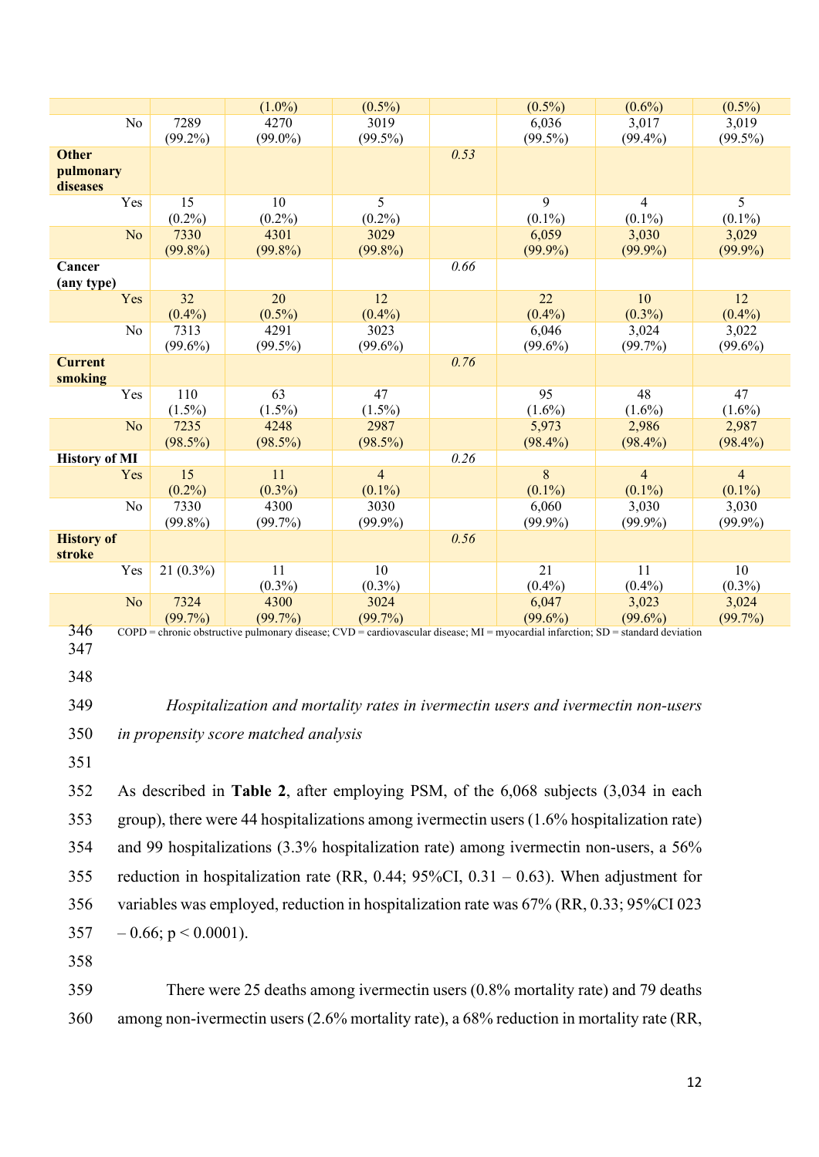|                      |             | $(1.0\%)$                                                                                                                               | $(0.5\%)$      |      | $(0.5\%)$  | $(0.6\%)$      | $(0.5\%)$      |
|----------------------|-------------|-----------------------------------------------------------------------------------------------------------------------------------------|----------------|------|------------|----------------|----------------|
| No                   | 7289        | 4270                                                                                                                                    | 3019           |      | 6,036      | 3,017          | 3,019          |
|                      | $(99.2\%)$  | $(99.0\%)$                                                                                                                              | $(99.5\%)$     |      | $(99.5\%)$ | $(99.4\%)$     | $(99.5\%)$     |
| <b>Other</b>         |             |                                                                                                                                         |                | 0.53 |            |                |                |
| pulmonary            |             |                                                                                                                                         |                |      |            |                |                |
| diseases             |             |                                                                                                                                         |                |      |            |                |                |
| Yes                  | 15          | 10                                                                                                                                      | 5              |      | 9          | 4              | 5              |
|                      | $(0.2\%)$   | $(0.2\%)$                                                                                                                               | $(0.2\%)$      |      | $(0.1\%)$  | $(0.1\%)$      | $(0.1\%)$      |
| N <sub>o</sub>       | 7330        | 4301                                                                                                                                    | 3029           |      | 6,059      | 3,030          | 3,029          |
|                      | $(99.8\%)$  | $(99.8\%)$                                                                                                                              | $(99.8\%)$     |      | $(99.9\%)$ | $(99.9\%)$     | $(99.9\%)$     |
| Cancer               |             |                                                                                                                                         |                | 0.66 |            |                |                |
| (any type)           |             |                                                                                                                                         |                |      |            |                |                |
|                      | 32          | 20                                                                                                                                      | 12             |      | 22         | 10             | 12             |
| Yes                  | $(0.4\%)$   | $(0.5\%)$                                                                                                                               | $(0.4\%)$      |      | $(0.4\%)$  | $(0.3\%)$      | $(0.4\%)$      |
|                      |             |                                                                                                                                         |                |      |            |                |                |
| No                   | 7313        | 4291                                                                                                                                    | 3023           |      | 6,046      | 3,024          | 3,022          |
|                      | $(99.6\%)$  | $(99.5\%)$                                                                                                                              | $(99.6\%)$     |      | $(99.6\%)$ | $(99.7\%)$     | $(99.6\%)$     |
| <b>Current</b>       |             |                                                                                                                                         |                | 0.76 |            |                |                |
| smoking              |             |                                                                                                                                         |                |      |            |                |                |
| Yes                  | 110         | 63                                                                                                                                      | 47             |      | 95         | 48             | 47             |
|                      | $(1.5\%)$   | $(1.5\%)$                                                                                                                               | $(1.5\%)$      |      | $(1.6\%)$  | $(1.6\%)$      | $(1.6\%)$      |
| N <sub>o</sub>       | 7235        | 4248                                                                                                                                    | 2987           |      | 5,973      | 2,986          | 2,987          |
|                      | $(98.5\%)$  | $(98.5\%)$                                                                                                                              | $(98.5\%)$     |      | $(98.4\%)$ | $(98.4\%)$     | $(98.4\%)$     |
| <b>History of MI</b> |             |                                                                                                                                         |                | 0.26 |            |                |                |
| Yes                  | 15          | 11                                                                                                                                      | $\overline{4}$ |      | 8          | $\overline{4}$ | $\overline{4}$ |
|                      | $(0.2\%)$   | $(0.3\%)$                                                                                                                               | $(0.1\%)$      |      | $(0.1\%)$  | $(0.1\%)$      | $(0.1\%)$      |
| No                   | 7330        | 4300                                                                                                                                    | 3030           |      | 6,060      | 3,030          | 3,030          |
|                      | $(99.8\%)$  | $(99.7\%)$                                                                                                                              | $(99.9\%)$     |      | $(99.9\%)$ | $(99.9\%)$     | $(99.9\%)$     |
| <b>History of</b>    |             |                                                                                                                                         |                | 0.56 |            |                |                |
| stroke               |             |                                                                                                                                         |                |      |            |                |                |
| Yes                  | $21(0.3\%)$ | 11                                                                                                                                      | 10             |      | 21         | 11             | 10             |
|                      |             | $(0.3\%)$                                                                                                                               | $(0.3\%)$      |      | $(0.4\%)$  | $(0.4\%)$      | $(0.3\%)$      |
| N <sub>o</sub>       | 7324        | 4300                                                                                                                                    | 3024           |      | 6,047      | 3,023          | 3,024          |
|                      | $(99.7\%)$  | $(99.7\%)$                                                                                                                              | $(99.7\%)$     |      | $(99.6\%)$ | $(99.6\%)$     | $(99.7\%)$     |
| 346                  |             | $COPD$ = chronic obstructive pulmonary disease; $CVD$ = cardiovascular disease; $MI$ = myocardial infarction; $SD$ = standard deviation |                |      |            |                |                |
|                      |             |                                                                                                                                         |                |      |            |                |                |

- 347
- 348

349 *Hospitalization and mortality rates in ivermectin users and ivermectin non-users* 350 *in propensity score matched analysis*

351

 As described in **Table 2**, after employing PSM, of the 6,068 subjects (3,034 in each group), there were 44 hospitalizations among ivermectin users (1.6% hospitalization rate) and 99 hospitalizations (3.3% hospitalization rate) among ivermectin non-users, a 56% reduction in hospitalization rate (RR, 0.44; 95%CI, 0.31 – 0.63). When adjustment for variables was employed, reduction in hospitalization rate was 67% (RR, 0.33; 95%CI 023 357 – 0.66;  $p < 0.0001$ ).

358

359 There were 25 deaths among ivermectin users (0.8% mortality rate) and 79 deaths 360 among non-ivermectin users (2.6% mortality rate), a 68% reduction in mortality rate (RR,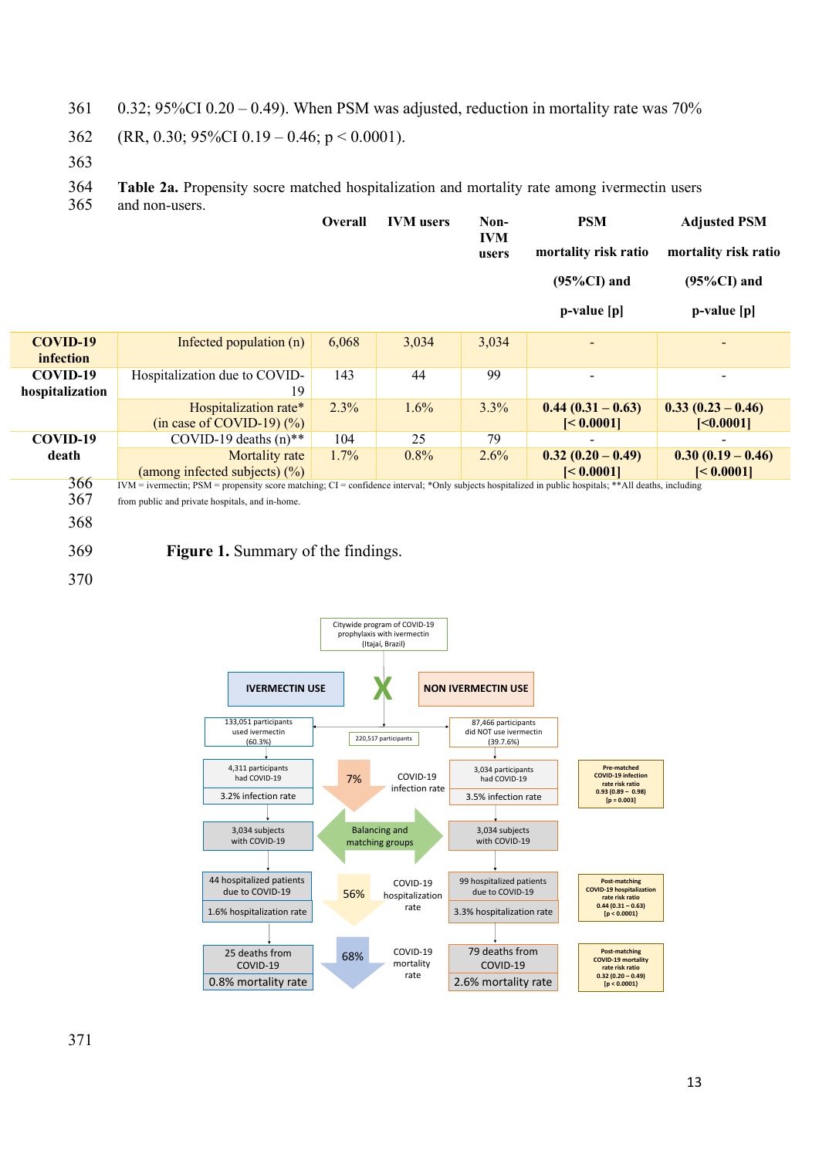- 361 0.32; 95%CI 0.20 0.49). When PSM was adjusted, reduction in mortality rate was  $70\%$
- 362 (RR, 0.30; 95%CI 0.19 0.46; p < 0.0001).
- 363

364 **Table 2a.** Propensity socre matched hospitalization and mortality rate among ivermectin users

365 and non-users.

|                              |                                                                                                                                                         | <b>Overall</b> | <b>IVM</b> users | Non-<br><b>IVM</b><br>users | <b>PSM</b><br>mortality risk ratio<br>$(95\%CI)$ and<br>p-value [p] | <b>Adjusted PSM</b><br>mortality risk ratio<br>$(95\%CI)$ and<br>p-value [p] |
|------------------------------|---------------------------------------------------------------------------------------------------------------------------------------------------------|----------------|------------------|-----------------------------|---------------------------------------------------------------------|------------------------------------------------------------------------------|
| <b>COVID-19</b><br>infection | Infected population (n)                                                                                                                                 | 6,068          | 3,034            | 3,034                       |                                                                     | $\overline{\phantom{0}}$                                                     |
| COVID-19<br>hospitalization  | Hospitalization due to COVID-<br>19                                                                                                                     | 143            | 44               | 99                          |                                                                     | $\overline{\phantom{a}}$                                                     |
|                              | Hospitalization rate*<br>$(in case of COVID-19)$ $(\%)$                                                                                                 | 2.3%           | 1.6%             | 3.3%                        | $0.44(0.31-0.63)$<br>$\leq 0.0001$                                  | $0.33(0.23-0.46)$<br>[<0.0001]                                               |
| COVID-19                     | COVID-19 deaths $(n)$ <sup>**</sup>                                                                                                                     | 104            | 25               | 79                          |                                                                     |                                                                              |
| death                        | Mortality rate                                                                                                                                          | $1.7\%$        | $0.8\%$          | $2.6\%$                     | $0.32(0.20-0.49)$                                                   | $0.30(0.19 - 0.46)$                                                          |
|                              | (among infected subjects) $(\%)$                                                                                                                        |                |                  |                             | $\leq 0.0001$                                                       | $\leq 0.0001$                                                                |
| 366                          | $IVM$ = ivermectin; PSM = propensity score matching; CI = confidence interval; *Only subjects hospitalized in public hospitals; **All deaths, including |                |                  |                             |                                                                     |                                                                              |

367 from public and private hospitals, and in-home.

368

369 **Figure 1.** Summary of the findings.

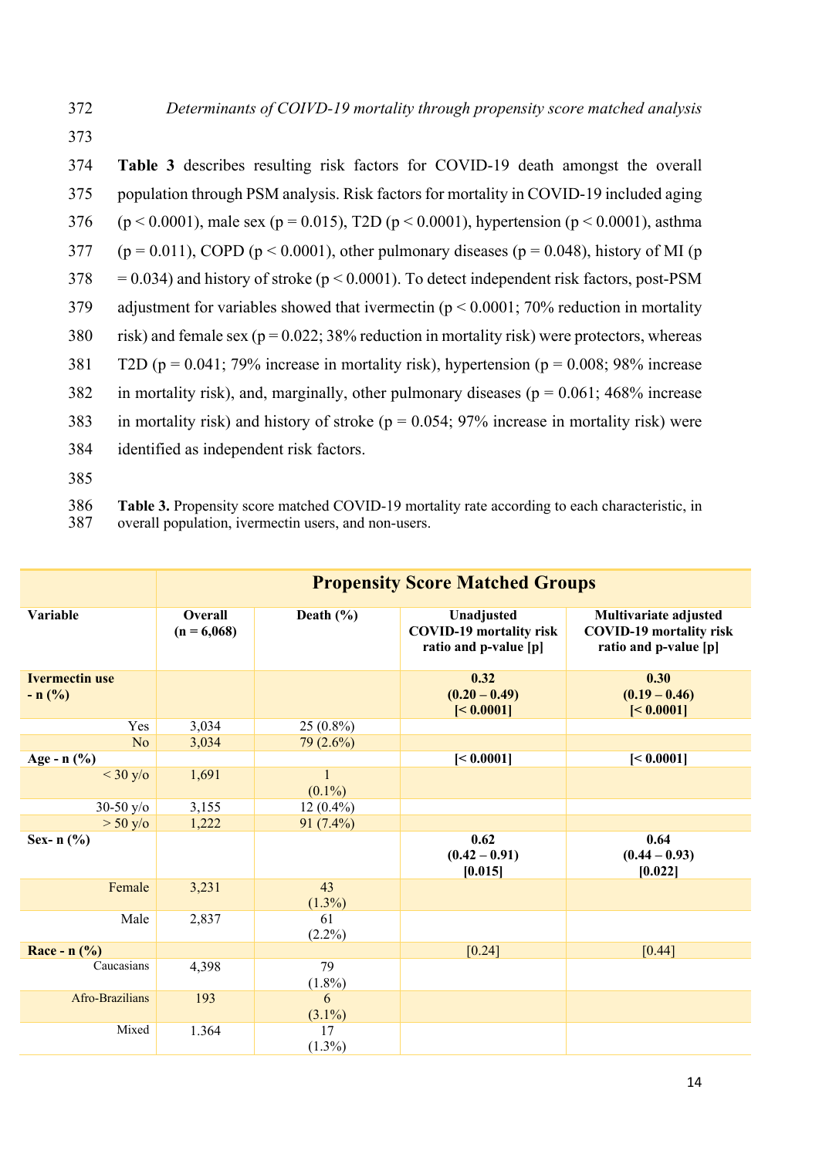374 **Table 3** describes resulting risk factors for COVID-19 death amongst the overall 375 population through PSM analysis. Risk factors for mortality in COVID-19 included aging 376 (p < 0.0001), male sex (p = 0.015), T2D (p < 0.0001), hypertension (p < 0.0001), asthma 377 (p = 0.011), COPD (p < 0.0001), other pulmonary diseases (p = 0.048), history of MI (p  $378 = 0.034$ ) and history of stroke ( $p \le 0.0001$ ). To detect independent risk factors, post-PSM 379 adjustment for variables showed that ivermectin (p < 0.0001; 70% reduction in mortality 380 risk) and female sex ( $p = 0.022$ ; 38% reduction in mortality risk) were protectors, whereas 381 T2D ( $p = 0.041$ ; 79% increase in mortality risk), hypertension ( $p = 0.008$ ; 98% increase 382 in mortality risk), and, marginally, other pulmonary diseases ( $p = 0.061$ ; 468% increase 383 in mortality risk) and history of stroke ( $p = 0.054$ ; 97% increase in mortality risk) were 384 identified as independent risk factors. 385



|                                    |                          | <b>Propensity Score Matched Groups</b> |                                                                       |                                                                                  |  |  |
|------------------------------------|--------------------------|----------------------------------------|-----------------------------------------------------------------------|----------------------------------------------------------------------------------|--|--|
| Variable                           | Overall<br>$(n = 6,068)$ | Death $(\% )$                          | Unadjusted<br><b>COVID-19 mortality risk</b><br>ratio and p-value [p] | Multivariate adjusted<br><b>COVID-19 mortality risk</b><br>ratio and p-value [p] |  |  |
| <b>Ivermectin use</b><br>$- n$ (%) |                          |                                        | 0.32<br>$(0.20 - 0.49)$<br>[< 0.0001]                                 | 0.30<br>$(0.19 - 0.46)$<br>[< 0.0001]                                            |  |  |
| Yes                                | 3,034                    | $25(0.8\%)$                            |                                                                       |                                                                                  |  |  |
| N <sub>o</sub>                     | 3,034                    | $79(2.6\%)$                            |                                                                       |                                                                                  |  |  |
| Age - $n$ (%)                      |                          |                                        | [< 0.0001]                                                            | [< 0.0001]                                                                       |  |  |
| $<$ 30 y/o                         | 1,691                    | 1<br>$(0.1\%)$                         |                                                                       |                                                                                  |  |  |
| 30-50 $y$ / $\circ$                | 3,155                    | $12(0.4\%)$                            |                                                                       |                                                                                  |  |  |
| $> 50$ y/o                         | 1,222                    | $91(7.4\%)$                            |                                                                       |                                                                                  |  |  |
| Sex- $n$ (%)                       |                          |                                        | 0.62<br>$(0.42 - 0.91)$<br>[0.015]                                    | 0.64<br>$(0.44 - 0.93)$<br>[0.022]                                               |  |  |
| Female                             | 3,231                    | 43<br>$(1.3\%)$                        |                                                                       |                                                                                  |  |  |
| Male                               | 2,837                    | 61<br>$(2.2\%)$                        |                                                                       |                                                                                  |  |  |
| Race - $n$ (%)                     |                          |                                        | [0.24]                                                                | [0.44]                                                                           |  |  |
| Caucasians                         | 4,398                    | 79<br>$(1.8\%)$                        |                                                                       |                                                                                  |  |  |
| Afro-Brazilians                    | 193                      | 6<br>$(3.1\%)$                         |                                                                       |                                                                                  |  |  |
| Mixed                              | 1.364                    | 17<br>$(1.3\%)$                        |                                                                       |                                                                                  |  |  |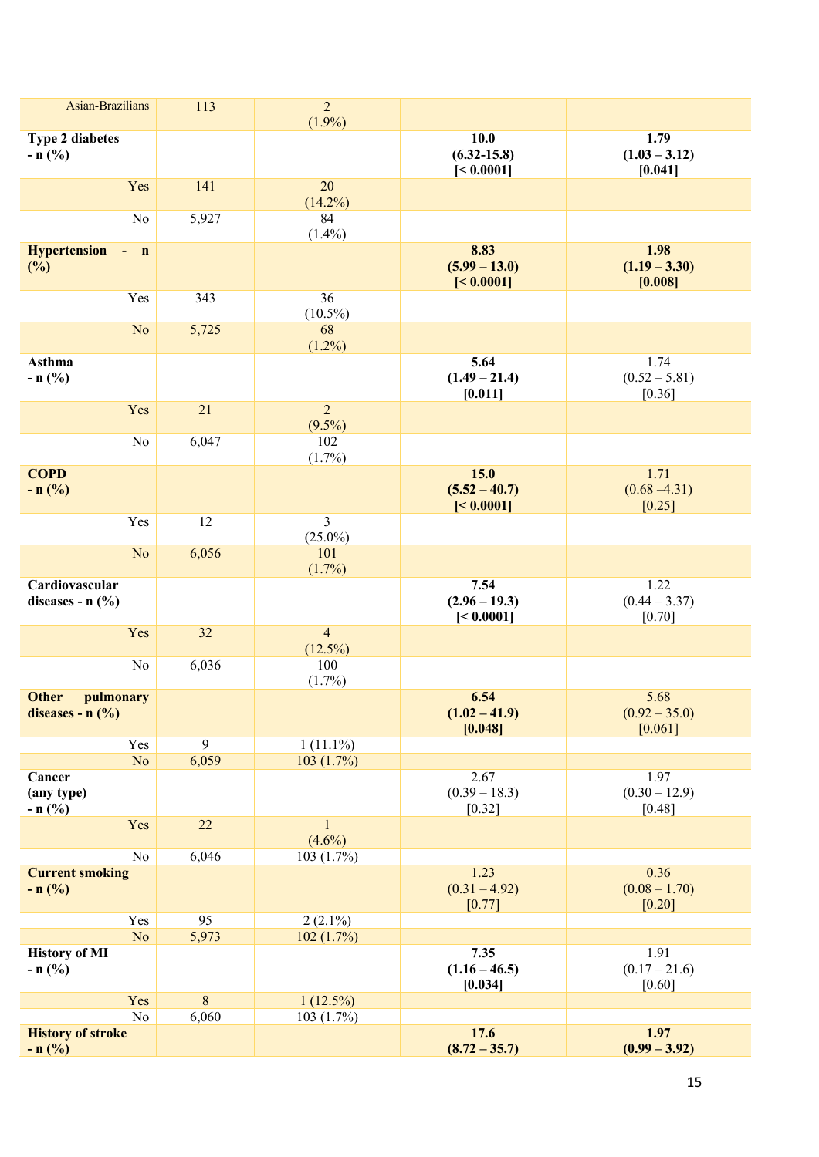| Asian-Brazilians                                                       | 113         | $\overline{c}$<br>$(1.9\%)$  |                                       |                                     |
|------------------------------------------------------------------------|-------------|------------------------------|---------------------------------------|-------------------------------------|
| <b>Type 2 diabetes</b><br>$- n$ (%)                                    |             |                              | 10.0<br>$(6.32 - 15.8)$<br>[< 0.0001] | 1.79<br>$(1.03 - 3.12)$<br>[0.041]  |
| Yes                                                                    | 141         | 20<br>$(14.2\%)$             |                                       |                                     |
| No                                                                     | 5,927       | 84<br>$(1.4\%)$              |                                       |                                     |
| <b>Hypertension</b><br>$\mathbf n$<br>(%)                              |             |                              | 8.83<br>$(5.99 - 13.0)$<br>[< 0.0001] | 1.98<br>$(1.19 - 3.30)$<br>[0.008]  |
| Yes                                                                    | 343         | 36<br>$(10.5\%)$             |                                       |                                     |
| N <sub>o</sub>                                                         | 5,725       | 68<br>$(1.2\%)$              |                                       |                                     |
| <b>Asthma</b><br>$- n$ (%)                                             |             |                              | 5.64<br>$(1.49 - 21.4)$<br>[0.011]    | 1.74<br>$(0.52 - 5.81)$<br>$[0.36]$ |
| Yes                                                                    | 21          | $\overline{2}$<br>$(9.5\%)$  |                                       |                                     |
| No                                                                     | 6,047       | 102<br>$(1.7\%)$             |                                       |                                     |
| <b>COPD</b><br>$- n$ (%)                                               |             |                              | 15.0<br>$(5.52 - 40.7)$<br>[< 0.0001] | 1.71<br>$(0.68 - 4.31)$<br>[0.25]   |
| Yes                                                                    | 12          | $\overline{3}$<br>$(25.0\%)$ |                                       |                                     |
| N <sub>o</sub>                                                         | 6,056       | 101<br>$(1.7\%)$             |                                       |                                     |
| Cardiovascular<br>diseases - $n$ (%)                                   |             |                              | 7.54<br>$(2.96 - 19.3)$<br>[< 0.0001] | 1.22<br>$(0.44 - 3.37)$<br>[0.70]   |
| Yes                                                                    | 32          | $\overline{4}$<br>$(12.5\%)$ |                                       |                                     |
| No                                                                     | 6,036       | 100<br>$(1.7\%)$             |                                       |                                     |
| <b>Other</b><br>pulmonary<br>diseases - $n$ $\left(\frac{9}{6}\right)$ |             |                              | 6.54<br>$(1.02 - 41.9)$<br>[0.048]    | 5.68<br>$(0.92 - 35.0)$<br>[0.061]  |
| Yes<br>N <sub>o</sub>                                                  | 9<br>6,059  | $1(11.1\%)$<br>103(1.7%)     |                                       |                                     |
| Cancer<br>(any type)<br>$- n (%)$                                      |             |                              | 2.67<br>$(0.39 - 18.3)$<br>$[0.32]$   | 1.97<br>$(0.30 - 12.9)$<br>[0.48]   |
| Yes                                                                    | 22          | $\mathbf{1}$<br>$(4.6\%)$    |                                       |                                     |
| $\rm No$<br><b>Current smoking</b>                                     | 6,046       | 103(1.7%)                    | 1.23                                  | 0.36                                |
| $- n$ (%)                                                              |             |                              | $(0.31 - 4.92)$<br>[0.77]             | $(0.08 - 1.70)$<br>$[0.20]$         |
| Yes<br>No                                                              | 95<br>5,973 | $2(2.1\%)$<br>102(1.7%)      |                                       |                                     |
| <b>History of MI</b><br>$- n$ (%)                                      |             |                              | 7.35<br>$(1.16 - 46.5)$<br>[0.034]    | 1.91<br>$(0.17 - 21.6)$<br>[0.60]   |
| Yes                                                                    | 8           | $1(12.5\%)$                  |                                       |                                     |
| $\rm No$<br><b>History of stroke</b><br>$- n (%)$                      | 6,060       | 103(1.7%)                    | 17.6<br>$(8.72 - 35.7)$               | 1.97<br>$(0.99 - 3.92)$             |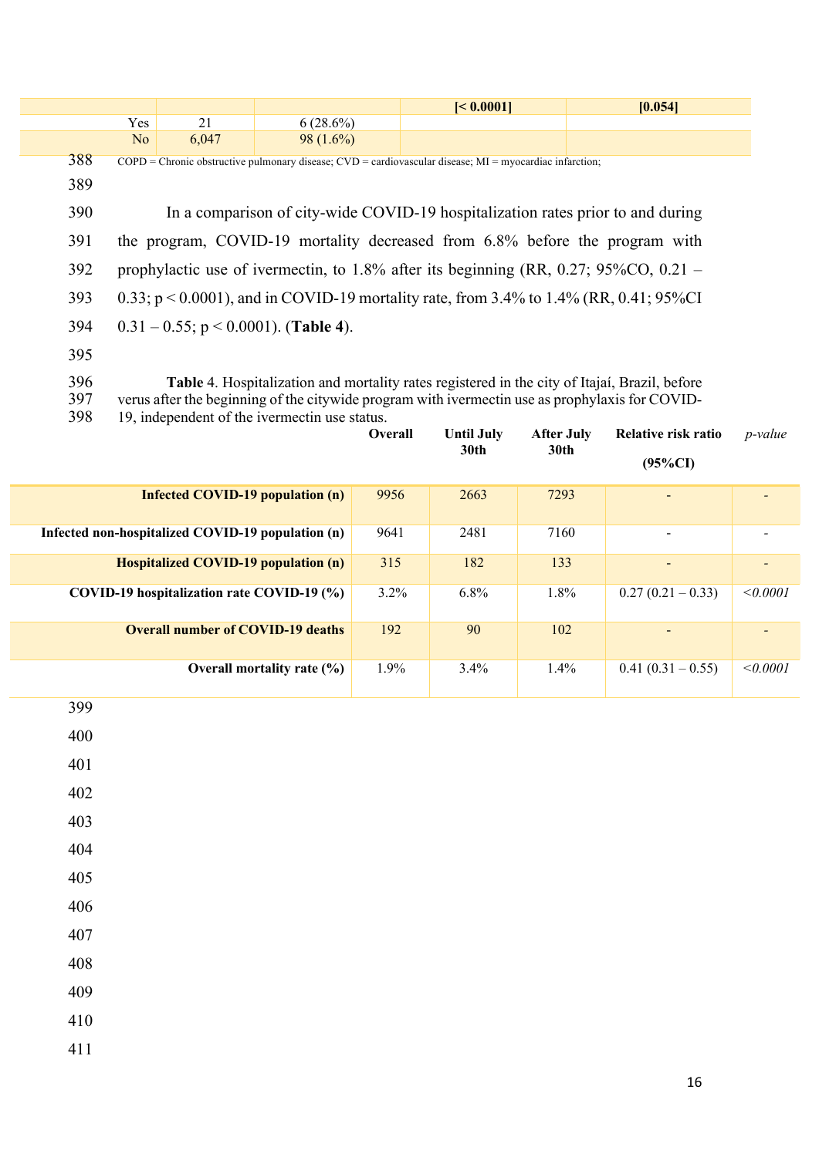|     |                                                                                      |                                                                                                               |             | [< 0.0001]                                                                                           | [0.054] |  |  |  |  |
|-----|--------------------------------------------------------------------------------------|---------------------------------------------------------------------------------------------------------------|-------------|------------------------------------------------------------------------------------------------------|---------|--|--|--|--|
|     | Yes                                                                                  | 21                                                                                                            | $6(28.6\%)$ |                                                                                                      |         |  |  |  |  |
|     | N <sub>o</sub>                                                                       | 6,047                                                                                                         | $98(1.6\%)$ |                                                                                                      |         |  |  |  |  |
| 388 |                                                                                      | $COPD$ = Chronic obstructive pulmonary disease; $CVD$ = cardiovascular disease; $MI$ = myocardiac infarction; |             |                                                                                                      |         |  |  |  |  |
| 389 |                                                                                      |                                                                                                               |             |                                                                                                      |         |  |  |  |  |
| 390 |                                                                                      | In a comparison of city-wide COVID-19 hospitalization rates prior to and during                               |             |                                                                                                      |         |  |  |  |  |
| 391 | the program, COVID-19 mortality decreased from 6.8% before the program with          |                                                                                                               |             |                                                                                                      |         |  |  |  |  |
| 392 | prophylactic use of ivermectin, to 1.8% after its beginning (RR, 0.27; 95%CO, 0.21 – |                                                                                                               |             |                                                                                                      |         |  |  |  |  |
| 393 |                                                                                      | 0.33; $p < 0.0001$ ), and in COVID-19 mortality rate, from 3.4% to 1.4% (RR, 0.41; 95%CI                      |             |                                                                                                      |         |  |  |  |  |
| 394 | $0.31 - 0.55$ ; p < 0.0001). (Table 4).                                              |                                                                                                               |             |                                                                                                      |         |  |  |  |  |
| 395 |                                                                                      |                                                                                                               |             |                                                                                                      |         |  |  |  |  |
| 396 |                                                                                      |                                                                                                               |             | <b>Table</b> 4. Hospitalization and mortality rates registered in the city of Itajaí, Brazil, before |         |  |  |  |  |
| 397 |                                                                                      |                                                                                                               |             | verus after the beginning of the citywide program with ivermectin use as prophylaxis for COVID-      |         |  |  |  |  |

19, independent of the ivermectin use status.

|                                                   | <b>Overall</b> | <b>Until July</b><br>30th | <b>After July</b><br>30th | Relative risk ratio<br>$(95\%CI)$ | $p$ -value |
|---------------------------------------------------|----------------|---------------------------|---------------------------|-----------------------------------|------------|
| <b>Infected COVID-19 population (n)</b>           | 9956           | 2663                      | 7293                      | $\qquad \qquad \blacksquare$      |            |
| Infected non-hospitalized COVID-19 population (n) | 9641           | 2481                      | 7160                      | $\overline{\phantom{a}}$          |            |
| <b>Hospitalized COVID-19 population (n)</b>       | 315            | 182                       | 133                       | $\qquad \qquad \blacksquare$      |            |
| COVID-19 hospitalization rate COVID-19 (%)        | $3.2\%$        | $6.8\%$                   | $1.8\%$                   | $0.27(0.21-0.33)$                 | < 0.0001   |
| <b>Overall number of COVID-19 deaths</b>          | 192            | 90                        | 102                       | $\overline{\phantom{a}}$          |            |
| Overall mortality rate $(\% )$                    | 1.9%           | 3.4%                      | $1.4\%$                   | $0.41(0.31-0.55)$                 | < 0.0001   |
| 399                                               |                |                           |                           |                                   |            |

| 400 |  |  |  |
|-----|--|--|--|
| 401 |  |  |  |
| 402 |  |  |  |
| 403 |  |  |  |
| 404 |  |  |  |
| 405 |  |  |  |
| 406 |  |  |  |
| 407 |  |  |  |
| 408 |  |  |  |
| 409 |  |  |  |
| 410 |  |  |  |
| 411 |  |  |  |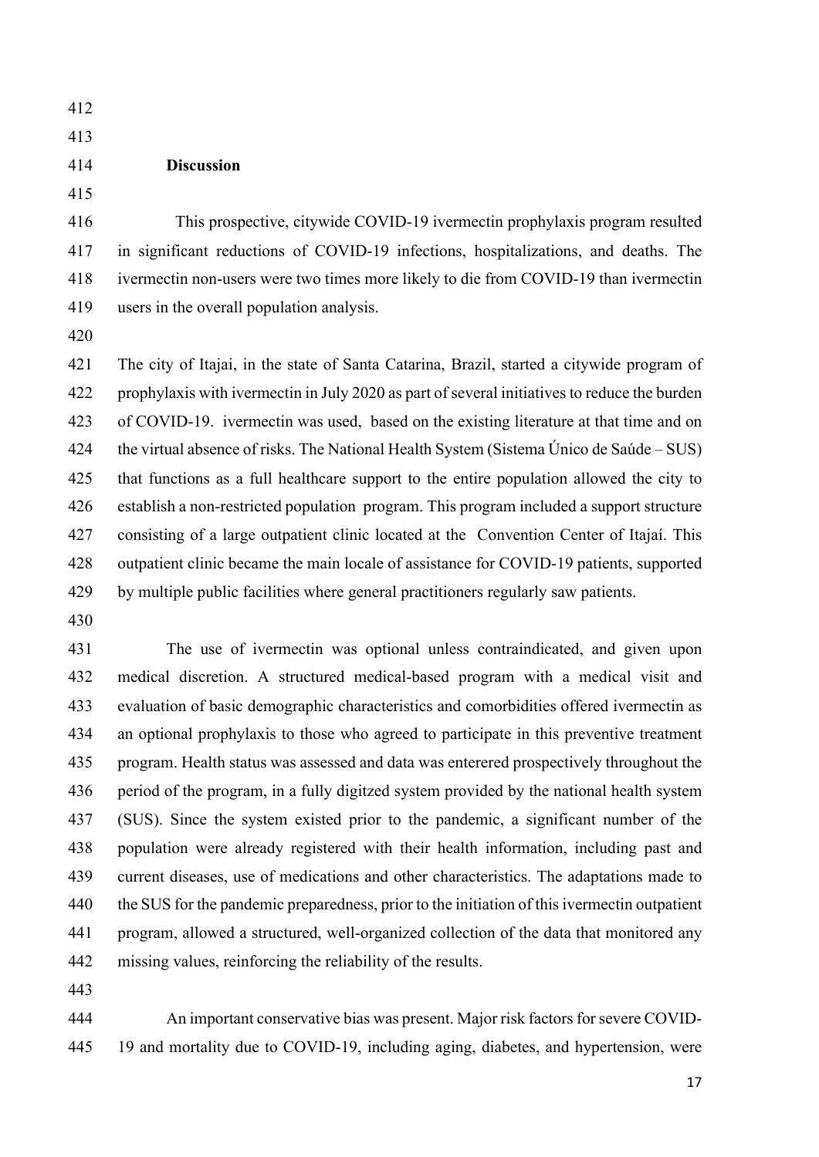- 
- 

### **Discussion**

416 This prospective, citywide COVID-19 ivermectin prophylaxis program resulted in significant reductions of COVID-19 infections, hospitalizations, and deaths. The ivermectin non-users were two times more likely to die from COVID-19 than ivermectin users in the overall population analysis.

 The city of Itajai, in the state of Santa Catarina, Brazil, started a citywide program of prophylaxis with ivermectin in July 2020 as part of several initiatives to reduce the burden of COVID-19. ivermectin was used, based on the existing literature at that time and on 424 the virtual absence of risks. The National Health System (Sistema Único de Saúde – SUS) that functions as a full healthcare support to the entire population allowed the city to establish a non-restricted population program. This program included a support structure consisting of a large outpatient clinic located at the Convention Center of Itajaí. This outpatient clinic became the main locale of assistance for COVID-19 patients, supported by multiple public facilities where general practitioners regularly saw patients.

 The use of ivermectin was optional unless contraindicated, and given upon medical discretion. A structured medical-based program with a medical visit and evaluation of basic demographic characteristics and comorbidities offered ivermectin as an optional prophylaxis to those who agreed to participate in this preventive treatment program. Health status was assessed and data was enterered prospectively throughout the period of the program, in a fully digitzed system provided by the national health system (SUS). Since the system existed prior to the pandemic, a significant number of the population were already registered with their health information, including past and current diseases, use of medications and other characteristics. The adaptations made to 440 the SUS for the pandemic preparedness, prior to the initiation of this ivermectin outpatient program, allowed a structured, well-organized collection of the data that monitored any missing values, reinforcing the reliability of the results.

 An important conservative bias was present. Major risk factors for severe COVID-19 and mortality due to COVID-19, including aging, diabetes, and hypertension, were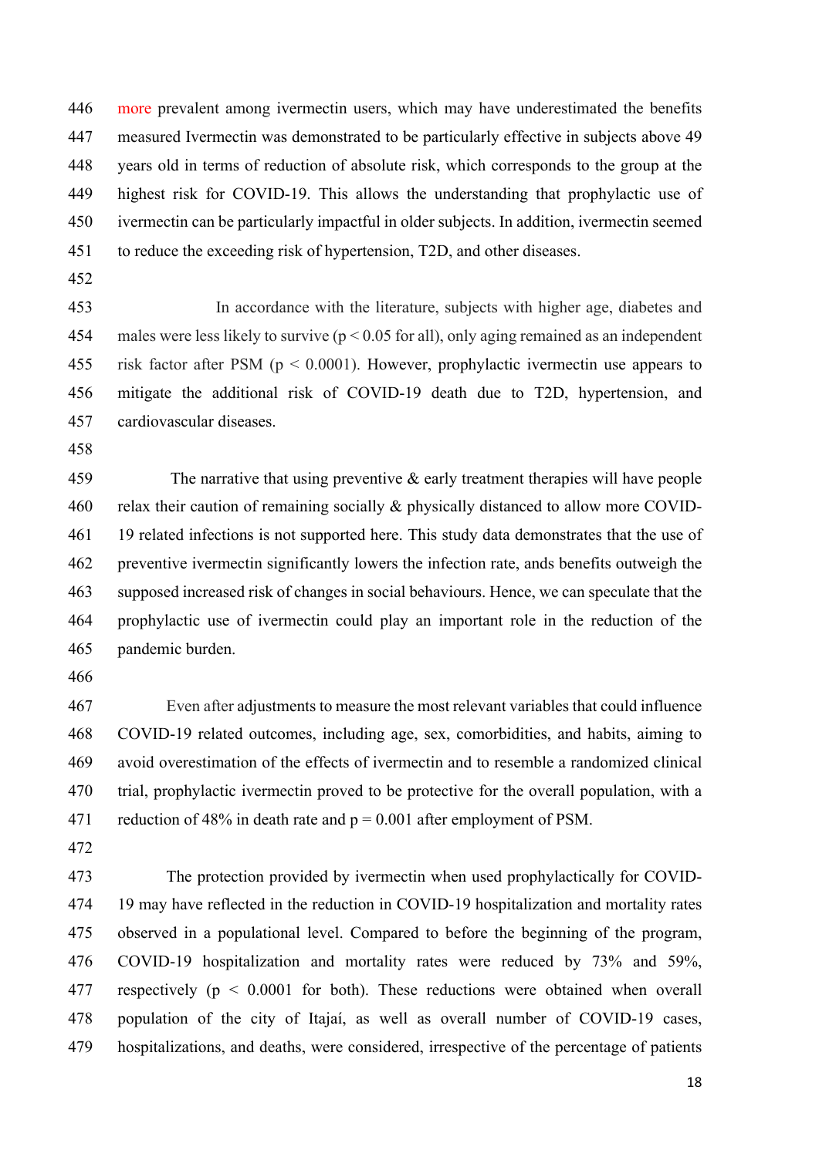446 more prevalent among ivermectin users, which may have underestimated the benefits measured Ivermectin was demonstrated to be particularly effective in subjects above 49 years old in terms of reduction of absolute risk, which corresponds to the group at the highest risk for COVID-19. This allows the understanding that prophylactic use of ivermectin can be particularly impactful in older subjects. In addition, ivermectin seemed to reduce the exceeding risk of hypertension, T2D, and other diseases.

453 In accordance with the literature, subjects with higher age, diabetes and 454 males were less likely to survive ( $p < 0.05$  for all), only aging remained as an independent risk factor after PSM (p < 0.0001). However, prophylactic ivermectin use appears to mitigate the additional risk of COVID-19 death due to T2D, hypertension, and cardiovascular diseases.

 The narrative that using preventive & early treatment therapies will have people relax their caution of remaining socially & physically distanced to allow more COVID- 19 related infections is not supported here. This study data demonstrates that the use of preventive ivermectin significantly lowers the infection rate, ands benefits outweigh the supposed increased risk of changes in social behaviours. Hence, we can speculate that the prophylactic use of ivermectin could play an important role in the reduction of the pandemic burden.

 Even after adjustments to measure the most relevant variables that could influence COVID-19 related outcomes, including age, sex, comorbidities, and habits, aiming to avoid overestimation of the effects of ivermectin and to resemble a randomized clinical 470 trial, prophylactic ivermectin proved to be protective for the overall population, with a 471 reduction of 48% in death rate and  $p = 0.001$  after employment of PSM.

 The protection provided by ivermectin when used prophylactically for COVID- 19 may have reflected in the reduction in COVID-19 hospitalization and mortality rates observed in a populational level. Compared to before the beginning of the program, COVID-19 hospitalization and mortality rates were reduced by 73% and 59%, respectively (p < 0.0001 for both). These reductions were obtained when overall population of the city of Itajaí, as well as overall number of COVID-19 cases, hospitalizations, and deaths, were considered, irrespective of the percentage of patients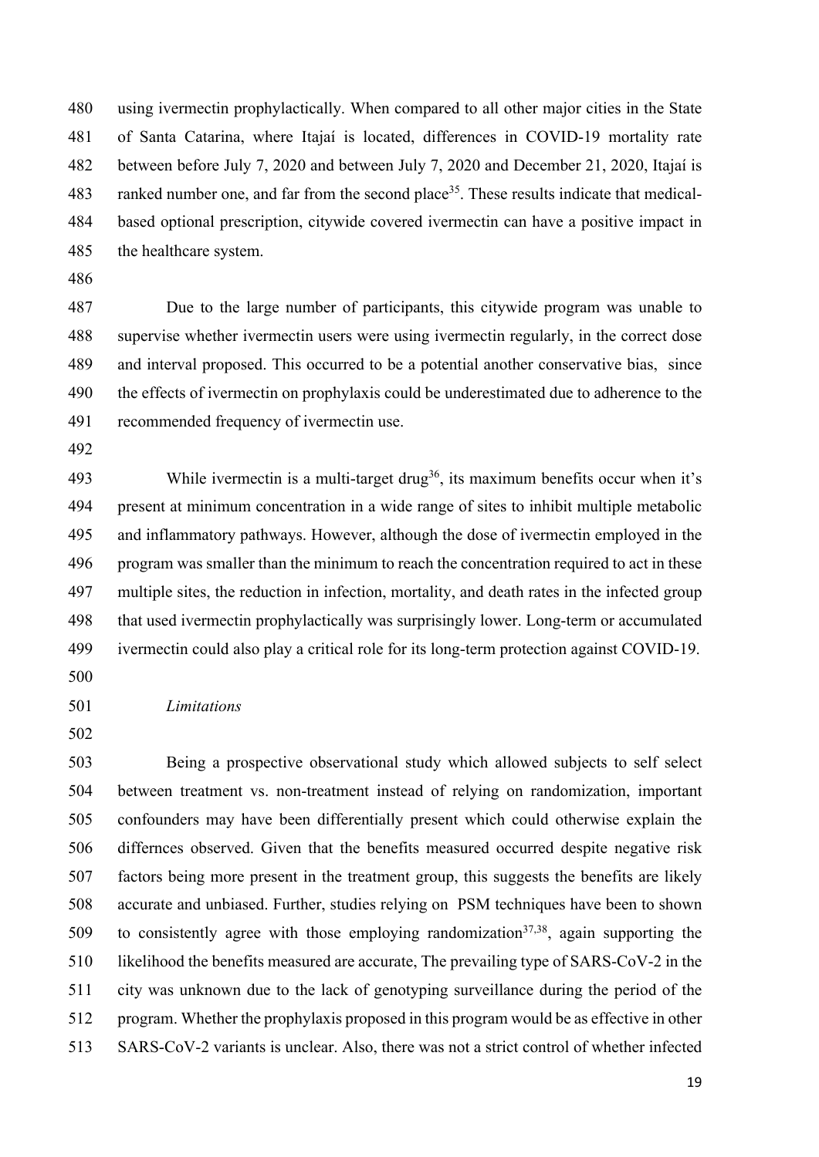using ivermectin prophylactically. When compared to all other major cities in the State of Santa Catarina, where Itajaí is located, differences in COVID-19 mortality rate between before July 7, 2020 and between July 7, 2020 and December 21, 2020, Itajaí is 483 ranked number one, and far from the second place<sup>35</sup>. These results indicate that medical- based optional prescription, citywide covered ivermectin can have a positive impact in the healthcare system.

 Due to the large number of participants, this citywide program was unable to supervise whether ivermectin users were using ivermectin regularly, in the correct dose and interval proposed. This occurred to be a potential another conservative bias, since the effects of ivermectin on prophylaxis could be underestimated due to adherence to the recommended frequency of ivermectin use.

493 While ivermectin is a multi-target drug<sup>36</sup>, its maximum benefits occur when it's present at minimum concentration in a wide range of sites to inhibit multiple metabolic and inflammatory pathways. However, although the dose of ivermectin employed in the program was smaller than the minimum to reach the concentration required to act in these multiple sites, the reduction in infection, mortality, and death rates in the infected group that used ivermectin prophylactically was surprisingly lower. Long-term or accumulated ivermectin could also play a critical role for its long-term protection against COVID-19.

### *Limitations*

 Being a prospective observational study which allowed subjects to self select between treatment vs. non-treatment instead of relying on randomization, important confounders may have been differentially present which could otherwise explain the differnces observed. Given that the benefits measured occurred despite negative risk factors being more present in the treatment group, this suggests the benefits are likely accurate and unbiased. Further, studies relying on PSM techniques have been to shown 509 to consistently agree with those employing randomization<sup>37,38</sup>, again supporting the likelihood the benefits measured are accurate, The prevailing type of SARS-CoV-2 in the city was unknown due to the lack of genotyping surveillance during the period of the program. Whether the prophylaxis proposed in this program would be as effective in other SARS-CoV-2 variants is unclear. Also, there was not a strict control of whether infected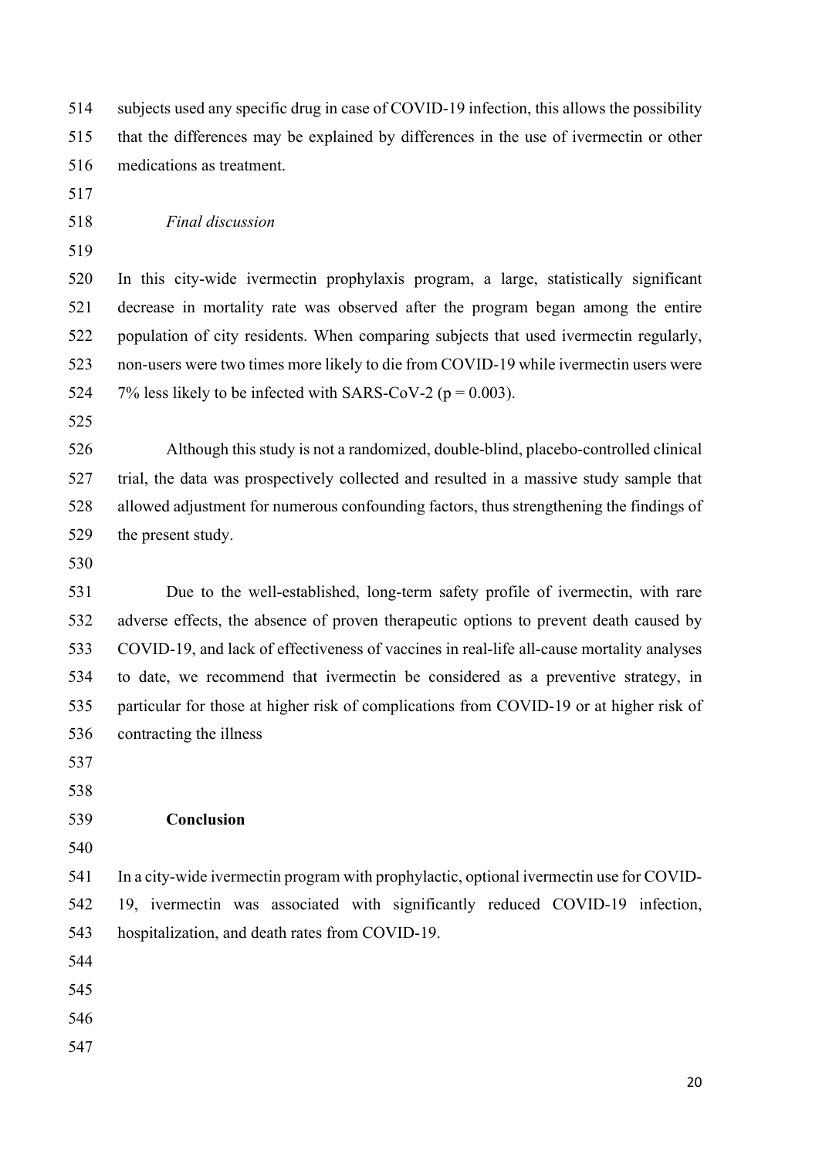subjects used any specific drug in case of COVID-19 infection, this allows the possibility that the differences may be explained by differences in the use of ivermectin or other medications as treatment.

- 
- 

*Final discussion*

 In this city-wide ivermectin prophylaxis program, a large, statistically significant decrease in mortality rate was observed after the program began among the entire population of city residents. When comparing subjects that used ivermectin regularly, non-users were two times more likely to die from COVID-19 while ivermectin users were 524 7% less likely to be infected with SARS-CoV-2 ( $p = 0.003$ ).

 Although this study is not a randomized, double-blind, placebo-controlled clinical trial, the data was prospectively collected and resulted in a massive study sample that allowed adjustment for numerous confounding factors, thus strengthening the findings of the present study.

 Due to the well-established, long-term safety profile of ivermectin, with rare adverse effects, the absence of proven therapeutic options to prevent death caused by COVID-19, and lack of effectiveness of vaccines in real-life all-cause mortality analyses to date, we recommend that ivermectin be considered as a preventive strategy, in particular for those at higher risk of complications from COVID-19 or at higher risk of contracting the illness

#### **Conclusion**

 In a city-wide ivermectin program with prophylactic, optional ivermectin use for COVID- 19, ivermectin was associated with significantly reduced COVID-19 infection, hospitalization, and death rates from COVID-19.

- 
- 
- 
-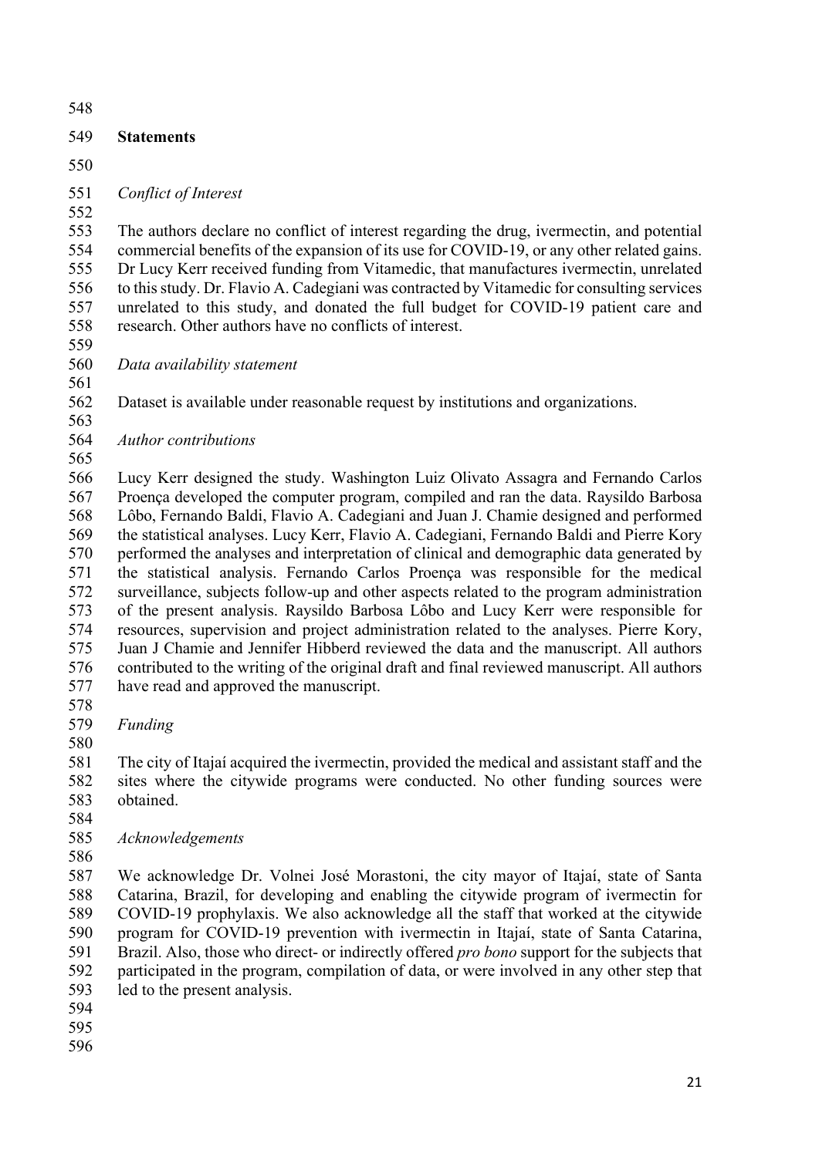### **Statements**

#### *Conflict of Interest*

 The authors declare no conflict of interest regarding the drug, ivermectin, and potential commercial benefits of the expansion of its use for COVID-19, or any other related gains. Dr Lucy Kerr received funding from Vitamedic, that manufactures ivermectin, unrelated to this study. Dr. Flavio A. Cadegiani was contracted by Vitamedic for consulting services unrelated to this study, and donated the full budget for COVID-19 patient care and research. Other authors have no conflicts of interest.

*Data availability statement*

 Dataset is available under reasonable request by institutions and organizations. 

*Author contributions*

 Lucy Kerr designed the study. Washington Luiz Olivato Assagra and Fernando Carlos Proença developed the computer program, compiled and ran the data. Raysildo Barbosa Lôbo, Fernando Baldi, Flavio A. Cadegiani and Juan J. Chamie designed and performed the statistical analyses. Lucy Kerr, Flavio A. Cadegiani, Fernando Baldi and Pierre Kory performed the analyses and interpretation of clinical and demographic data generated by the statistical analysis. Fernando Carlos Proença was responsible for the medical surveillance, subjects follow-up and other aspects related to the program administration of the present analysis. Raysildo Barbosa Lôbo and Lucy Kerr were responsible for resources, supervision and project administration related to the analyses. Pierre Kory, Juan J Chamie and Jennifer Hibberd reviewed the data and the manuscript. All authors contributed to the writing of the original draft and final reviewed manuscript. All authors have read and approved the manuscript.

- 
- *Funding*

 The city of Itajaí acquired the ivermectin, provided the medical and assistant staff and the sites where the citywide programs were conducted. No other funding sources were obtained.

## *Acknowledgements*

 We acknowledge Dr. Volnei José Morastoni, the city mayor of Itajaí, state of Santa Catarina, Brazil, for developing and enabling the citywide program of ivermectin for COVID-19 prophylaxis. We also acknowledge all the staff that worked at the citywide program for COVID-19 prevention with ivermectin in Itajaí, state of Santa Catarina, Brazil. Also, those who direct- or indirectly offered *pro bono* support for the subjects that participated in the program, compilation of data, or were involved in any other step that led to the present analysis.

- 
-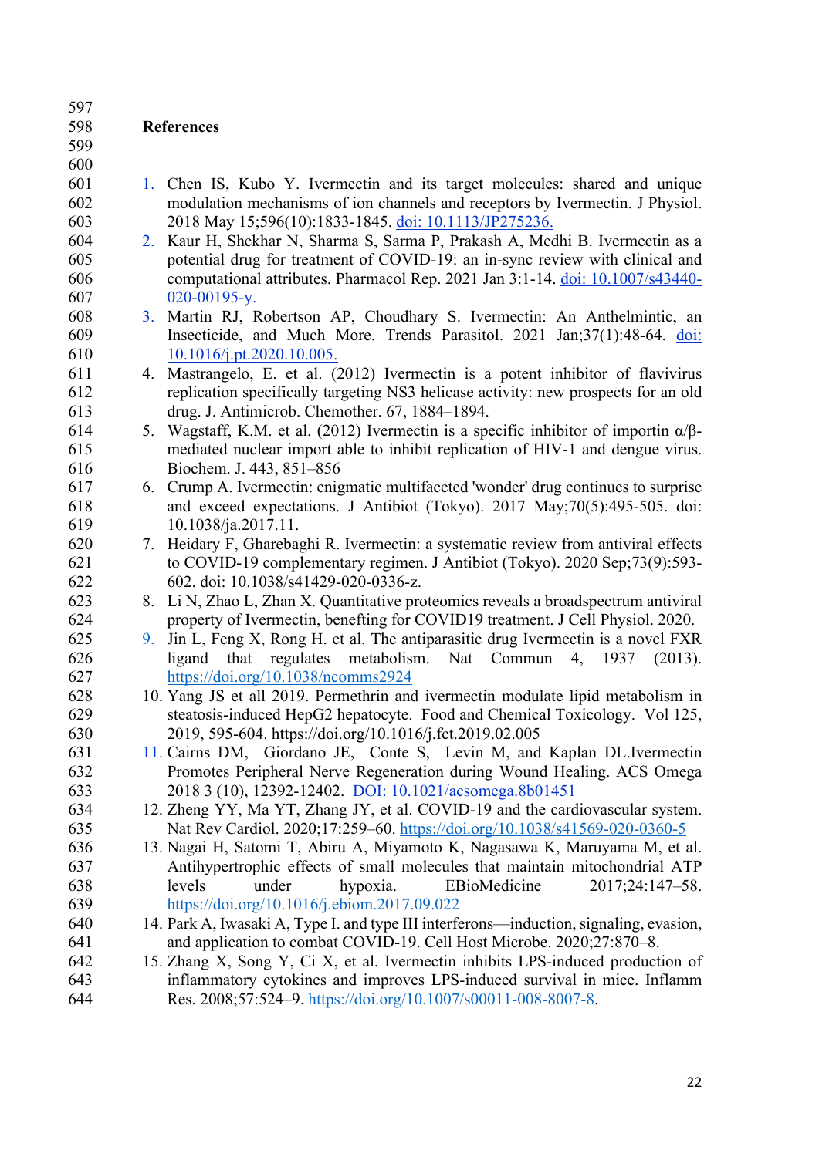#### **References**

- 1. Chen IS, Kubo Y. Ivermectin and its target molecules: shared and unique modulation mechanisms of ion channels and receptors by Ivermectin. J Physiol. 2018 May 15;596(10):1833-1845. doi: 10.1113/JP275236.
- 2. Kaur H, Shekhar N, Sharma S, Sarma P, Prakash A, Medhi B. Ivermectin as a potential drug for treatment of COVID-19: an in-sync review with clinical and computational attributes. Pharmacol Rep. 2021 Jan 3:1-14. doi: 10.1007/s43440- 020-00195-y.
- 3. Martin RJ, Robertson AP, Choudhary S. Ivermectin: An Anthelmintic, an Insecticide, and Much More. Trends Parasitol. 2021 Jan;37(1):48-64. doi: 10.1016/j.pt.2020.10.005.
- 4. Mastrangelo, E. et al. (2012) Ivermectin is a potent inhibitor of flavivirus replication specifically targeting NS3 helicase activity: new prospects for an old drug. J. Antimicrob. Chemother. 67, 1884–1894.
- 614 5. Wagstaff, K.M. et al. (2012) Ivermectin is a specific inhibitor of importin  $\alpha/\beta$ - mediated nuclear import able to inhibit replication of HIV-1 and dengue virus. Biochem. J. 443, 851–856
- 6. Crump A. Ivermectin: enigmatic multifaceted 'wonder' drug continues to surprise and exceed expectations. J Antibiot (Tokyo). 2017 May;70(5):495-505. doi: 10.1038/ja.2017.11.
- 7. Heidary F, Gharebaghi R. Ivermectin: a systematic review from antiviral effects to COVID-19 complementary regimen. J Antibiot (Tokyo). 2020 Sep;73(9):593- 602. doi: 10.1038/s41429-020-0336-z.
- 8. Li N, Zhao L, Zhan X. Quantitative proteomics reveals a broadspectrum antiviral property of Ivermectin, benefting for COVID19 treatment. J Cell Physiol. 2020.
- 9. Jin L, Feng X, Rong H. et al. The antiparasitic drug Ivermectin is a novel FXR ligand that regulates metabolism. Nat Commun 4, 1937 (2013). https://doi.org/10.1038/ncomms2924
- 10. Yang JS et all 2019. Permethrin and ivermectin modulate lipid metabolism in steatosis-induced HepG2 hepatocyte. Food and Chemical Toxicology. Vol 125, 2019, 595-604. https://doi.org/10.1016/j.fct.2019.02.005
- 11. Cairns DM, Giordano JE, Conte S, Levin M, and Kaplan DL.Ivermectin Promotes Peripheral Nerve Regeneration during Wound Healing. ACS Omega 2018 3 (10), 12392-12402. DOI: 10.1021/acsomega.8b01451
- 12. Zheng YY, Ma YT, Zhang JY, et al. COVID-19 and the cardiovascular system. Nat Rev Cardiol. 2020;17:259–60. https://doi.org/10.1038/s41569-020-0360-5
- 13. Nagai H, Satomi T, Abiru A, Miyamoto K, Nagasawa K, Maruyama M, et al. Antihypertrophic effects of small molecules that maintain mitochondrial ATP levels under hypoxia. EBioMedicine 2017;24:147–58. https://doi.org/10.1016/j.ebiom.2017.09.022
- 14. Park A, Iwasaki A, Type I. and type III interferons—induction, signaling, evasion, and application to combat COVID-19. Cell Host Microbe. 2020;27:870–8.
- 15. Zhang X, Song Y, Ci X, et al. Ivermectin inhibits LPS-induced production of inflammatory cytokines and improves LPS-induced survival in mice. Inflamm Res. 2008;57:524–9. https://doi.org/10.1007/s00011-008-8007-8.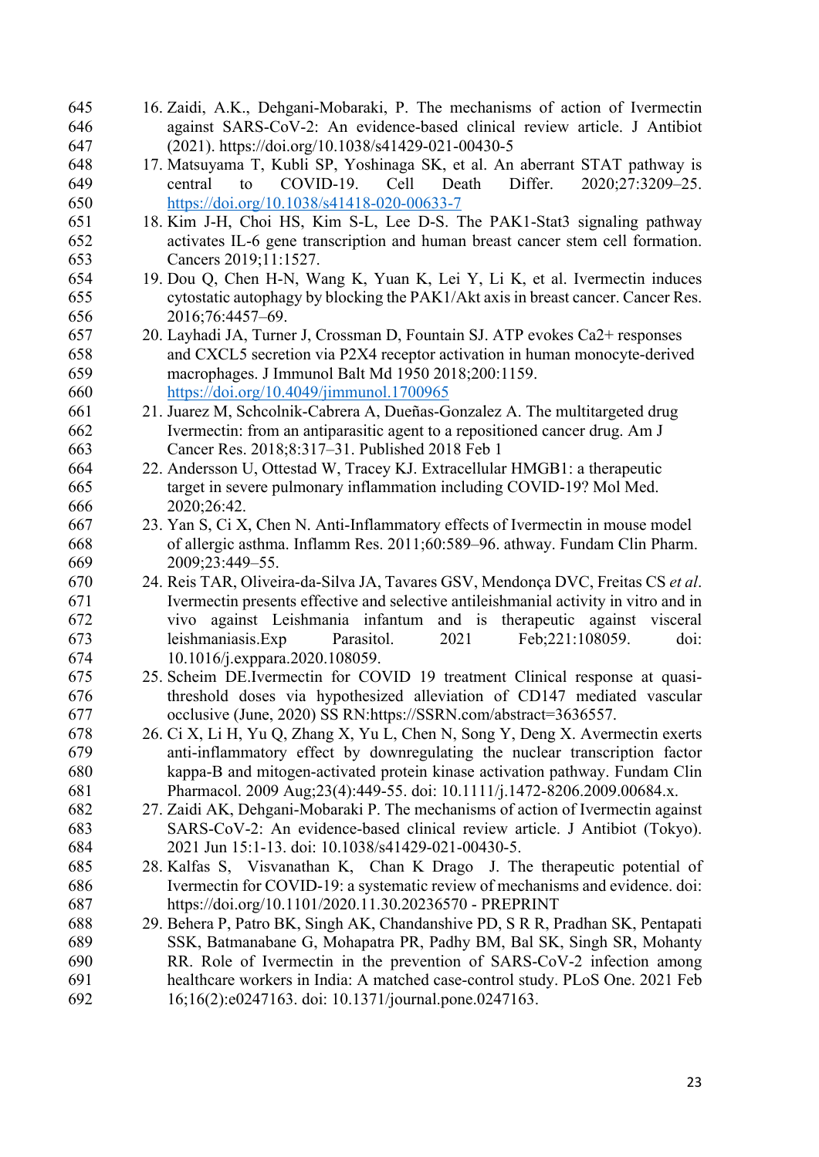| 645 | 16. Zaidi, A.K., Dehgani-Mobaraki, P. The mechanisms of action of Ivermectin         |
|-----|--------------------------------------------------------------------------------------|
| 646 | against SARS-CoV-2: An evidence-based clinical review article. J Antibiot            |
| 647 | (2021). https://doi.org/10.1038/s41429-021-00430-5                                   |
| 648 | 17. Matsuyama T, Kubli SP, Yoshinaga SK, et al. An aberrant STAT pathway is          |
| 649 | COVID-19.<br>Cell<br>Death<br>Differ.<br>2020;27:3209-25.<br>central<br>to           |
| 650 | https://doi.org/10.1038/s41418-020-00633-7                                           |
| 651 | 18. Kim J-H, Choi HS, Kim S-L, Lee D-S. The PAK1-Stat3 signaling pathway             |
| 652 | activates IL-6 gene transcription and human breast cancer stem cell formation.       |
| 653 | Cancers 2019;11:1527.                                                                |
| 654 | 19. Dou Q, Chen H-N, Wang K, Yuan K, Lei Y, Li K, et al. Ivermectin induces          |
| 655 | cytostatic autophagy by blocking the PAK1/Akt axis in breast cancer. Cancer Res.     |
| 656 | 2016;76:4457-69.                                                                     |
| 657 | 20. Layhadi JA, Turner J, Crossman D, Fountain SJ. ATP evokes Ca2+ responses         |
| 658 | and CXCL5 secretion via P2X4 receptor activation in human monocyte-derived           |
| 659 | macrophages. J Immunol Balt Md 1950 2018;200:1159.                                   |
| 660 | https://doi.org/10.4049/jimmunol.1700965                                             |
| 661 | 21. Juarez M, Schcolnik-Cabrera A, Dueñas-Gonzalez A. The multitargeted drug         |
| 662 | Ivermectin: from an antiparasitic agent to a repositioned cancer drug. Am J          |
| 663 | Cancer Res. 2018;8:317-31. Published 2018 Feb 1                                      |
| 664 | 22. Andersson U, Ottestad W, Tracey KJ. Extracellular HMGB1: a therapeutic           |
| 665 | target in severe pulmonary inflammation including COVID-19? Mol Med.                 |
| 666 | 2020;26:42.                                                                          |
| 667 | 23. Yan S, Ci X, Chen N. Anti-Inflammatory effects of Ivermectin in mouse model      |
| 668 | of allergic asthma. Inflamm Res. 2011;60:589-96. athway. Fundam Clin Pharm.          |
| 669 | 2009;23:449-55.                                                                      |
| 670 | 24. Reis TAR, Oliveira-da-Silva JA, Tavares GSV, Mendonça DVC, Freitas CS et al.     |
| 671 | Ivermectin presents effective and selective antileishmanial activity in vitro and in |
| 672 | vivo against Leishmania infantum and is therapeutic against visceral                 |
| 673 | leishmaniasis.Exp<br>2021<br>Feb;221:108059.<br>Parasitol.<br>doi:                   |
| 674 | 10.1016/j.exppara.2020.108059.                                                       |
| 675 | 25. Scheim DE.Ivermectin for COVID 19 treatment Clinical response at quasi-          |
| 676 | threshold doses via hypothesized alleviation of CD147 mediated vascular              |
| 677 | occlusive (June, 2020) SS RN:https://SSRN.com/abstract=3636557                       |
| 678 | 26. Ci X, Li H, Yu Q, Zhang X, Yu L, Chen N, Song Y, Deng X. Avermectin exerts       |
| 679 | anti-inflammatory effect by downregulating the nuclear transcription factor          |
| 680 | kappa-B and mitogen-activated protein kinase activation pathway. Fundam Clin         |
| 681 | Pharmacol. 2009 Aug;23(4):449-55. doi: 10.1111/j.1472-8206.2009.00684.x.             |
| 682 | 27. Zaidi AK, Dehgani-Mobaraki P. The mechanisms of action of Ivermectin against     |
| 683 | SARS-CoV-2: An evidence-based clinical review article. J Antibiot (Tokyo).           |
| 684 | 2021 Jun 15:1-13. doi: 10.1038/s41429-021-00430-5.                                   |
|     |                                                                                      |
| 685 | 28. Kalfas S, Visvanathan K, Chan K Drago J. The therapeutic potential of            |
| 686 | Ivermectin for COVID-19: a systematic review of mechanisms and evidence. doi:        |
| 687 | https://doi.org/10.1101/2020.11.30.20236570 - PREPRINT                               |
| 688 | 29. Behera P, Patro BK, Singh AK, Chandanshive PD, S R R, Pradhan SK, Pentapati      |
| 689 | SSK, Batmanabane G, Mohapatra PR, Padhy BM, Bal SK, Singh SR, Mohanty                |
| 690 | RR. Role of Ivermectin in the prevention of SARS-CoV-2 infection among               |
| 691 | healthcare workers in India: A matched case-control study. PLoS One. 2021 Feb        |
| 692 | 16;16(2):e0247163. doi: 10.1371/journal.pone.0247163.                                |